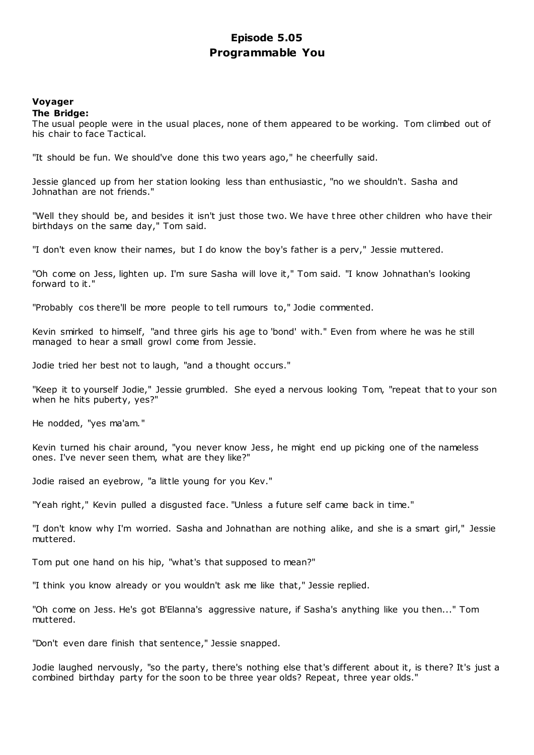## **Episode 5.05 Programmable You**

### **Voyager The Bridge:**

The usual people were in the usual places, none of them appeared to be working. Tom climbed out of his chair to face Tactical.

"It should be fun. We should've done this two years ago," he cheerfully said.

Jessie glanced up from her station looking less than enthusiastic, "no we shouldn't. Sasha and Johnathan are not friends."

"Well they should be, and besides it isn't just those two. We have t hree other children who have their birthdays on the same day," Tom said.

"I don't even know their names, but I do know the boy's father is a perv," Jessie muttered.

"Oh come on Jess, lighten up. I'm sure Sasha will love it," Tom said. "I know Johnathan's looking forward to it."

"Probably cos there'll be more people to tell rumours to," Jodie commented.

Kevin smirked to himself, "and three girls his age to 'bond' with." Even from where he was he still managed to hear a small growl come from Jessie.

Jodie tried her best not to laugh, "and a thought occurs."

"Keep it to yourself Jodie," Jessie grumbled. She eyed a nervous looking Tom, "repeat that to your son when he hits puberty, yes?"

He nodded, "yes ma'am."

Kevin turned his chair around, "you never know Jess, he might end up picking one of the nameless ones. I've never seen them, what are they like?"

Jodie raised an eyebrow, "a little young for you Kev."

"Yeah right," Kevin pulled a disgusted face. "Unless a future self came back in time."

"I don't know why I'm worried. Sasha and Johnathan are nothing alike, and she is a smart girl," Jessie muttered.

Tom put one hand on his hip, "what's that supposed to mean?"

"I think you know already or you wouldn't ask me like that," Jessie replied.

"Oh come on Jess. He's got B'Elanna's aggressive nature, if Sasha's anything like you then..." Tom muttered.

"Don't even dare finish that sentence," Jessie snapped.

Jodie laughed nervously, "so the party, there's nothing else that's different about it, is there? It's just a combined birthday party for the soon to be three year olds? Repeat, three year olds."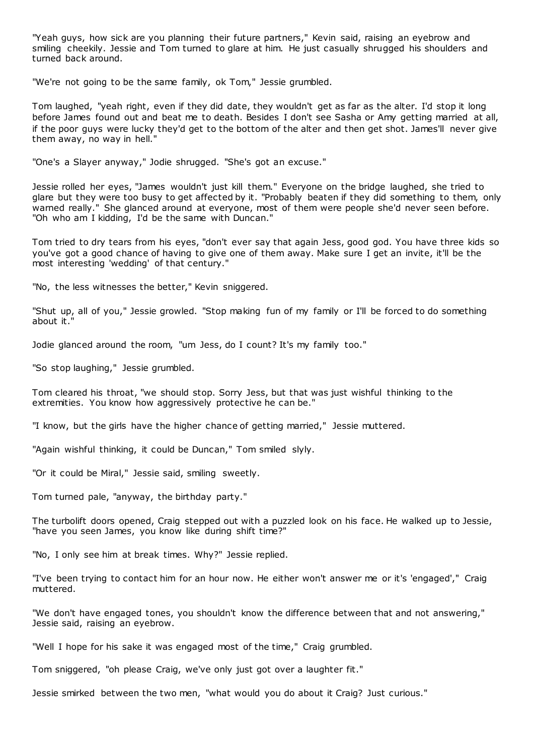"Yeah guys, how sick are you planning their future partners," Kevin said, raising an eyebrow and smiling cheekily. Jessie and Tom turned to glare at him. He just casually shrugged his shoulders and turned back around.

"We're not going to be the same family, ok Tom," Jessie grumbled.

Tom laughed, "yeah right, even if they did date, they wouldn't get as far as the alter. I'd stop it long before James found out and beat me to death. Besides I don't see Sasha or Amy getting married at all, if the poor guys were lucky they'd get to the bottom of the alter and then get shot. James'll never give them away, no way in hell."

"One's a Slayer anyway," Jodie shrugged. "She's got an excuse."

Jessie rolled her eyes, "James wouldn't just kill them." Everyone on the bridge laughed, she tried to glare but they were too busy to get affected by it. "Probably beaten if they did something to them, only warned really." She glanced around at everyone, most of them were people she'd never seen before. "Oh who am I kidding, I'd be the same with Duncan."

Tom tried to dry tears from his eyes, "don't ever say that again Jess, good god. You have three kids so you've got a good chance of having to give one of them away. Make sure I get an invite, it'll be the most interesting 'wedding' of that century."

"No, the less witnesses the better," Kevin sniggered.

"Shut up, all of you," Jessie growled. "Stop making fun of my family or I'll be forced to do something about it."

Jodie glanced around the room, "um Jess, do I count? It's my family too."

"So stop laughing," Jessie grumbled.

Tom cleared his throat, "we should stop. Sorry Jess, but that was just wishful thinking to the extremities. You know how aggressively protective he can be."

"I know, but the girls have the higher chance of getting married," Jessie muttered.

"Again wishful thinking, it could be Duncan," Tom smiled slyly.

"Or it could be Miral," Jessie said, smiling sweetly.

Tom turned pale, "anyway, the birthday party."

The turbolift doors opened, Craig stepped out with a puzzled look on his face. He walked up to Jessie, "have you seen James, you know like during shift time?"

"No, I only see him at break times. Why?" Jessie replied.

"I've been trying to contact him for an hour now. He either won't answer me or it's 'engaged'," Craig muttered.

"We don't have engaged tones, you shouldn't know the difference between that and not answering," Jessie said, raising an eyebrow.

"Well I hope for his sake it was engaged most of the time," Craig grumbled.

Tom sniggered, "oh please Craig, we've only just got over a laughter fit."

Jessie smirked between the two men, "what would you do about it Craig? Just curious."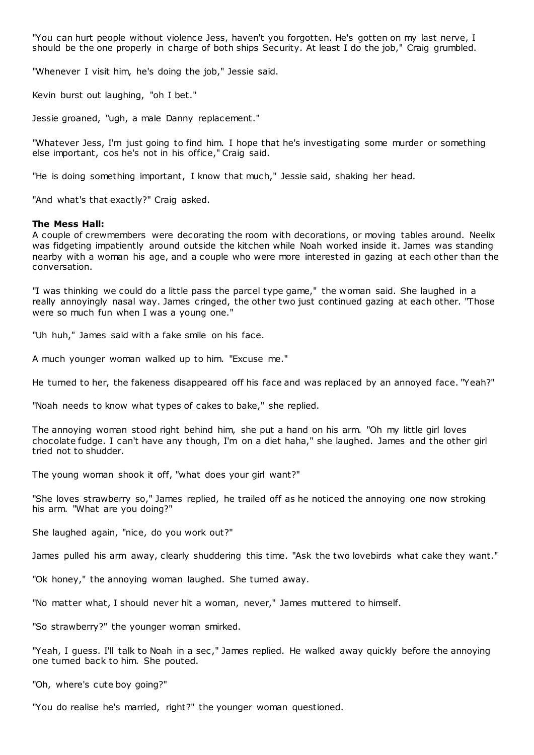"You can hurt people without violence Jess, haven't you forgotten. He's gotten on my last nerve, I should be the one properly in charge of both ships Security. At least I do the job," Craig grumbled.

"Whenever I visit him, he's doing the job," Jessie said.

Kevin burst out laughing, "oh I bet."

Jessie groaned, "ugh, a male Danny replacement."

"Whatever Jess, I'm just going to find him. I hope that he's investigating some murder or something else important, cos he's not in his office," Craig said.

"He is doing something important, I know that much," Jessie said, shaking her head.

"And what's that exactly?" Craig asked.

#### **The Mess Hall:**

A couple of crewmembers were decorating the room with decorations, or moving tables around. Neelix was fidgeting impatiently around outside the kitchen while Noah worked inside it. James was standing nearby with a woman his age, and a couple who were more interested in gazing at each other than the conversation.

"I was thinking we could do a little pass the parcel type game," the woman said. She laughed in a really annoyingly nasal way. James cringed, the other two just continued gazing at each other. "Those were so much fun when I was a young one."

"Uh huh," James said with a fake smile on his face.

A much younger woman walked up to him. "Excuse me."

He turned to her, the fakeness disappeared off his face and was replaced by an annoyed face. "Yeah?"

"Noah needs to know what types of cakes to bake," she replied.

The annoying woman stood right behind him, she put a hand on his arm. "Oh my little girl loves chocolate fudge. I can't have any though, I'm on a diet haha," she laughed. James and the other girl tried not to shudder.

The young woman shook it off, "what does your girl want?"

"She loves strawberry so," James replied, he trailed off as he noticed the annoying one now stroking his arm. "What are you doing?"

She laughed again, "nice, do you work out?"

James pulled his arm away, clearly shuddering this time. "Ask the two lovebirds what cake they want."

"Ok honey," the annoying woman laughed. She turned away.

"No matter what, I should never hit a woman, never," James muttered to himself.

"So strawberry?" the younger woman smirked.

"Yeah, I guess. I'll talk to Noah in a sec," James replied. He walked away quickly before the annoying one turned back to him. She pouted.

"Oh, where's cute boy going?"

"You do realise he's married, right?" the younger woman questioned.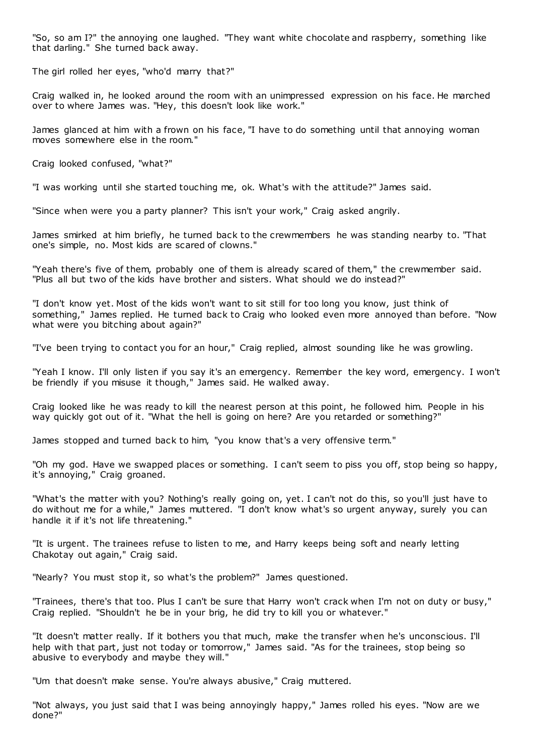"So, so am I?" the annoying one laughed. "They want white chocolate and raspberry, something like that darling." She turned back away.

The girl rolled her eyes, "who'd marry that?"

Craig walked in, he looked around the room with an unimpressed expression on his face. He marched over to where James was. "Hey, this doesn't look like work."

James glanced at him with a frown on his face, "I have to do something until that annoying woman moves somewhere else in the room."

Craig looked confused, "what?"

"I was working until she started touching me, ok. What's with the attitude?" James said.

"Since when were you a party planner? This isn't your work," Craig asked angrily.

James smirked at him briefly, he turned back to the crewmembers he was standing nearby to. "That one's simple, no. Most kids are scared of clowns."

"Yeah there's five of them, probably one of them is already scared of them," the crewmember said. "Plus all but two of the kids have brother and sisters. What should we do instead?"

"I don't know yet. Most of the kids won't want to sit still for too long you know, just think of something," James replied. He turned back to Craig who looked even more annoyed than before. "Now what were you bitching about again?"

"I've been trying to contact you for an hour," Craig replied, almost sounding like he was growling.

"Yeah I know. I'll only listen if you say it's an emergency. Remember the key word, emergency. I won't be friendly if you misuse it though," James said. He walked away.

Craig looked like he was ready to kill the nearest person at this point, he followed him. People in his way quickly got out of it. "What the hell is going on here? Are you retarded or something?"

James stopped and turned back to him, "you know that's a very offensive term."

"Oh my god. Have we swapped places or something. I can't seem to piss you off, stop being so happy, it's annoying," Craig groaned.

"What's the matter with you? Nothing's really going on, yet. I can't not do this, so you'll just have to do without me for a while," James muttered. "I don't know what's so urgent anyway, surely you can handle it if it's not life threatening."

"It is urgent. The trainees refuse to listen to me, and Harry keeps being soft and nearly letting Chakotay out again," Craig said.

"Nearly? You must stop it, so what's the problem?" James questioned.

"Trainees, there's that too. Plus I can't be sure that Harry won't crack when I'm not on duty or busy," Craig replied. "Shouldn't he be in your brig, he did try to kill you or whatever."

"It doesn't matter really. If it bothers you that much, make the transfer when he's unconscious. I'll help with that part, just not today or tomorrow," James said. "As for the trainees, stop being so abusive to everybody and maybe they will."

"Um that doesn't make sense. You're always abusive," Craig muttered.

"Not always, you just said that I was being annoyingly happy," James rolled his eyes. "Now are we done?"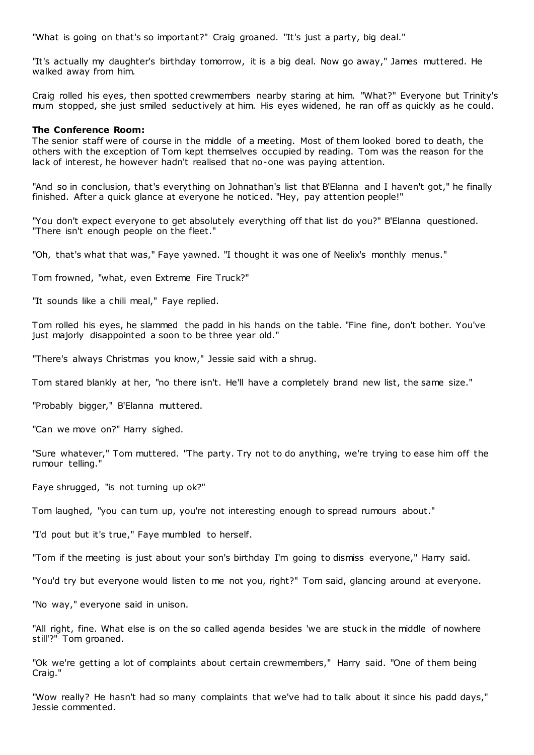"What is going on that's so important?" Craig groaned. "It's just a party, big deal."

"It's actually my daughter's birthday tomorrow, it is a big deal. Now go away," James muttered. He walked away from him.

Craig rolled his eyes, then spotted crewmembers nearby staring at him. "What?" Everyone but Trinity's mum stopped, she just smiled seductively at him. His eyes widened, he ran off as quickly as he could.

#### **The Conference Room:**

The senior staff were of course in the middle of a meeting. Most of them looked bored to death, the others with the exception of Tom kept themselves occupied by reading. Tom was the reason for the lack of interest, he however hadn't realised that no-one was paying attention.

"And so in conclusion, that's everything on Johnathan's list that B'Elanna and I haven't got," he finally finished. After a quick glance at everyone he noticed. "Hey, pay attention people!"

"You don't expect everyone to get absolutely everything off that list do you?" B'Elanna questioned. "There isn't enough people on the fleet."

"Oh, that's what that was," Faye yawned. "I thought it was one of Neelix's monthly menus."

Tom frowned, "what, even Extreme Fire Truck?"

"It sounds like a chili meal," Faye replied.

Tom rolled his eyes, he slammed the padd in his hands on the table. "Fine fine, don't bother. You've just majorly disappointed a soon to be three year old."

"There's always Christmas you know," Jessie said with a shrug.

Tom stared blankly at her, "no there isn't. He'll have a completely brand new list, the same size."

"Probably bigger," B'Elanna muttered.

"Can we move on?" Harry sighed.

"Sure whatever," Tom muttered. "The party. Try not to do anything, we're trying to ease him off the rumour telling."

Faye shrugged, "is not turning up ok?"

Tom laughed, "you can turn up, you're not interesting enough to spread rumours about."

"I'd pout but it's true," Faye mumbled to herself.

"Tom if the meeting is just about your son's birthday I'm going to dismiss everyone," Harry said.

"You'd try but everyone would listen to me not you, right?" Tom said, glancing around at everyone.

"No way," everyone said in unison.

"All right, fine. What else is on the so called agenda besides 'we are stuck in the middle of nowhere still'?" Tom groaned.

"Ok we're getting a lot of complaints about certain crewmembers," Harry said. "One of them being Craig."

"Wow really? He hasn't had so many complaints that we've had to talk about it since his padd days," Jessie commented.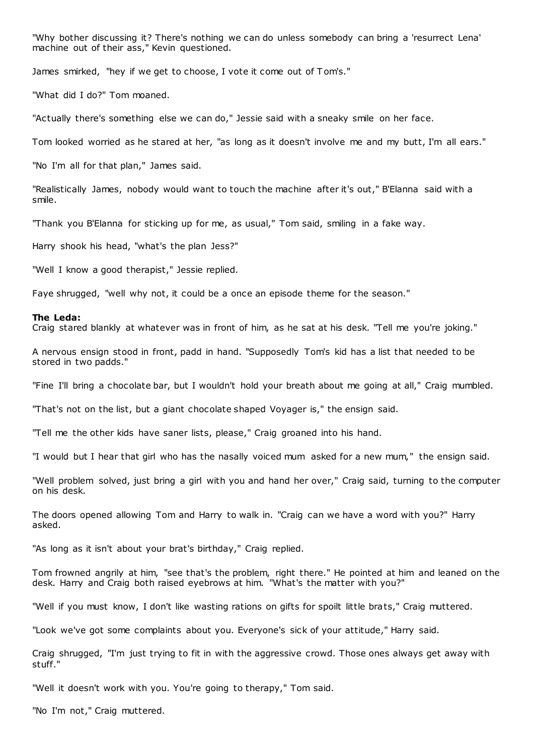"Why bother discussing it? There's nothing we can do unless somebody can bring a 'resurrect Lena' machine out of their ass," Kevin questioned.

James smirked, "hey if we get to choose, I vote it come out of Tom's."

"What did I do?" Tom moaned.

"Actually there's something else we can do," Jessie said with a sneaky smile on her face.

Tom looked worried as he stared at her, "as long as it doesn't involve me and my butt, I'm all ears."

"No I'm all for that plan," James said.

"Realistically James, nobody would want to touch the machine after it's out," B'Elanna said with a smile.

"Thank you B'Elanna for sticking up for me, as usual," Tom said, smiling in a fake way.

Harry shook his head, "what's the plan Jess?"

"Well I know a good therapist," Jessie replied.

Faye shrugged, "well why not, it could be a once an episode theme for the season."

#### **The Leda:**

Craig stared blankly at whatever was in front of him, as he sat at his desk. "Tell me you're joking."

A nervous ensign stood in front, padd in hand. "Supposedly Tom's kid has a list that needed to be stored in two padds."

"Fine I'll bring a chocolate bar, but I wouldn't hold your breath about me going at all," Craig mumbled.

"That's not on the list, but a giant chocolate shaped Voyager is," the ensign said.

"Tell me the other kids have saner lists, please," Craig groaned into his hand.

"I would but I hear that girl who has the nasally voiced mum asked for a new mum," the ensign said.

"Well problem solved, just bring a girl with you and hand her over," Craig said, turning to the computer on his desk.

The doors opened allowing Tom and Harry to walk in. "Craig can we have a word with you?" Harry asked.

"As long as it isn't about your brat's birthday," Craig replied.

Tom frowned angrily at him, "see that's the problem, right there." He pointed at him and leaned on the desk. Harry and Craig both raised eyebrows at him. "What's the matter with you?"

"Well if you must know, I don't like wasting rations on gifts for spoilt little brats," Craig muttered.

"Look we've got some complaints about you. Everyone's sick of your attitude," Harry said.

Craig shrugged, "I'm just trying to fit in with the aggressive crowd. Those ones always get away with stuff."

"Well it doesn't work with you. You're going to therapy," Tom said.

"No I'm not," Craig muttered.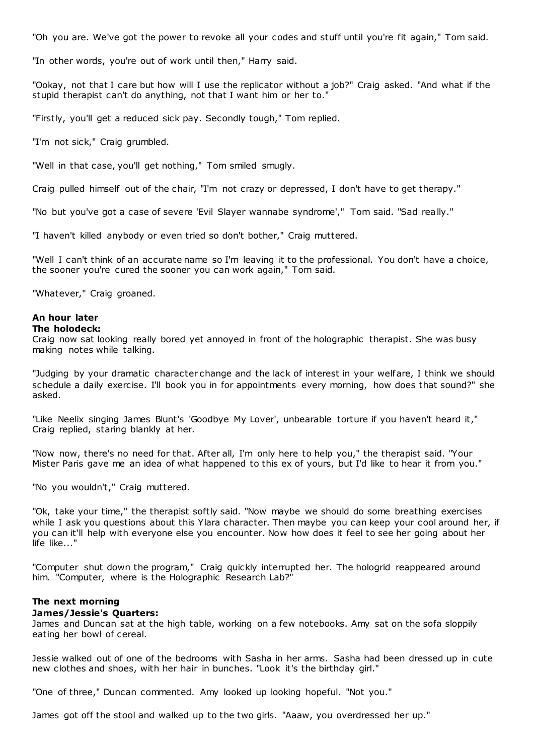"Oh you are. We've got the power to revoke all your codes and stuff until you're fit again," Tom said.

"In other words, you're out of work until then," Harry said.

"Ookay, not that I care but how will I use the replicator without a job?" Craig asked. "And what if the stupid therapist can't do anything, not that I want him or her to."

"Firstly, you'll get a reduced sick pay. Secondly tough," Tom replied.

"I'm not sick," Craig grumbled.

"Well in that case, you'll get nothing," Tom smiled smugly.

Craig pulled himself out of the chair, "I'm not crazy or depressed, I don't have to get therapy."

"No but you've got a case of severe 'Evil Slayer wannabe syndrome'," Tom said. "Sad really."

"I haven't killed anybody or even tried so don't bother," Craig muttered.

"Well I can't think of an accurate name so I'm leaving it to the professional. You don't have a choice, the sooner you're cured the sooner you can work again," Tom said.

"Whatever," Craig groaned.

## **An hour later**

### **The holodeck:**

Craig now sat looking really bored yet annoyed in front of the holographic therapist. She was busy making notes while talking.

"Judging by your dramatic character change and the lack of interest in your welfare, I think we should schedule a daily exercise. I'll book you in for appointments every morning, how does that sound?" she asked.

"Like Neelix singing James Blunt's 'Goodbye My Lover', unbearable torture if you haven't heard it," Craig replied, staring blankly at her.

"Now now, there's no need for that. After all, I'm only here to help you," the therapist said. "Your Mister Paris gave me an idea of what happened to this ex of yours, but I'd like to hear it from you."

"No you wouldn't," Craig muttered.

"Ok, take your time," the therapist softly said. "Now maybe we should do some breathing exercises while I ask you questions about this Ylara character. Then maybe you can keep your cool around her, if you can it'll help with everyone else you encounter. Now how does it feel to see her going about her life like..."

"Computer shut down the program," Craig quickly interrupted her. The hologrid reappeared around him. "Computer, where is the Holographic Research Lab?"

## **The next morning**

#### **James/Jessie's Quarters:**

James and Duncan sat at the high table, working on a few notebooks. Amy sat on the sofa sloppily eating her bowl of cereal.

Jessie walked out of one of the bedrooms with Sasha in her arms. Sasha had been dressed up in cute new clothes and shoes, with her hair in bunches. "Look it's the birthday girl."

"One of three," Duncan commented. Amy looked up looking hopeful. "Not you."

James got off the stool and walked up to the two girls. "Aaaw, you overdressed her up."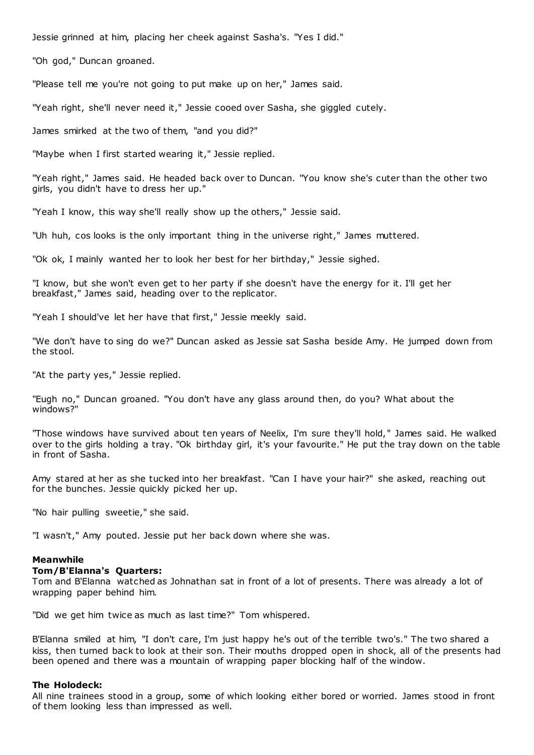Jessie grinned at him, placing her cheek against Sasha's. "Yes I did."

"Oh god," Duncan groaned.

"Please tell me you're not going to put make up on her," James said.

"Yeah right, she'll never need it," Jessie cooed over Sasha, she giggled cutely.

James smirked at the two of them, "and you did?"

"Maybe when I first started wearing it," Jessie replied.

"Yeah right," James said. He headed back over to Duncan. "You know she's cuter than the other two girls, you didn't have to dress her up."

"Yeah I know, this way she'll really show up the others," Jessie said.

"Uh huh, cos looks is the only important thing in the universe right," James muttered.

"Ok ok, I mainly wanted her to look her best for her birthday," Jessie sighed.

"I know, but she won't even get to her party if she doesn't have the energy for it. I'll get her breakfast," James said, heading over to the replicator.

"Yeah I should've let her have that first," Jessie meekly said.

"We don't have to sing do we?" Duncan asked as Jessie sat Sasha beside Amy. He jumped down from the stool.

"At the party yes," Jessie replied.

"Eugh no," Duncan groaned. "You don't have any glass around then, do you? What about the windows?"

"Those windows have survived about ten years of Neelix, I'm sure they'll hold, " James said. He walked over to the girls holding a tray. "Ok birthday girl, it's your favourite." He put the tray down on the table in front of Sasha.

Amy stared at her as she tucked into her breakfast. "Can I have your hair?" she asked, reaching out for the bunches. Jessie quickly picked her up.

"No hair pulling sweetie," she said.

"I wasn't," Amy pouted. Jessie put her back down where she was.

#### **Meanwhile**

#### **Tom/B'Elanna's Quarters:**

Tom and B'Elanna watched as Johnathan sat in front of a lot of presents. There was already a lot of wrapping paper behind him.

"Did we get him twice as much as last time?" Tom whispered.

B'Elanna smiled at him, "I don't care, I'm just happy he's out of the terrible two's." The two shared a kiss, then turned back to look at their son. Their mouths dropped open in shock, all of the presents had been opened and there was a mountain of wrapping paper blocking half of the window.

#### **The Holodeck:**

All nine trainees stood in a group, some of which looking either bored or worried. James stood in front of them looking less than impressed as well.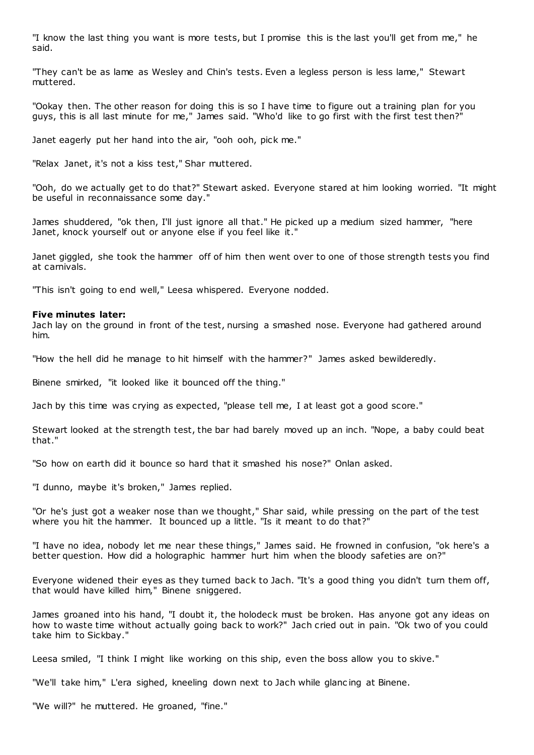"I know the last thing you want is more tests, but I promise this is the last you'll get from me," he said.

"They can't be as lame as Wesley and Chin's tests. Even a legless person is less lame," Stewart muttered.

"Ookay then. The other reason for doing this is so I have time to figure out a training plan for you guys, this is all last minute for me," James said. "Who'd like to go first with the first test then?"

Janet eagerly put her hand into the air, "ooh ooh, pick me."

"Relax Janet, it's not a kiss test," Shar muttered.

"Ooh, do we actually get to do that?" Stewart asked. Everyone stared at him looking worried. "It might be useful in reconnaissance some day."

James shuddered, "ok then, I'll just ignore all that." He picked up a medium sized hammer, "here Janet, knock yourself out or anyone else if you feel like it."

Janet giggled, she took the hammer off of him then went over to one of those strength tests you find at carnivals.

"This isn't going to end well," Leesa whispered. Everyone nodded.

#### **Five minutes later:**

Jach lay on the ground in front of the test, nursing a smashed nose. Everyone had gathered around him.

"How the hell did he manage to hit himself with the hammer?" James asked bewilderedly.

Binene smirked, "it looked like it bounced off the thing."

Jach by this time was crying as expected, "please tell me, I at least got a good score."

Stewart looked at the strength test, the bar had barely moved up an inch. "Nope, a baby could beat that."

"So how on earth did it bounce so hard that it smashed his nose?" Onlan asked.

"I dunno, maybe it's broken," James replied.

"Or he's just got a weaker nose than we thought," Shar said, while pressing on the part of the test where you hit the hammer. It bounced up a little. "Is it meant to do that?"

"I have no idea, nobody let me near these things," James said. He frowned in confusion, "ok here's a better question. How did a holographic hammer hurt him when the bloody safeties are on?"

Everyone widened their eyes as they turned back to Jach. "It's a good thing you didn't turn them off, that would have killed him," Binene sniggered.

James groaned into his hand, "I doubt it, the holodeck must be broken. Has anyone got any ideas on how to waste time without actually going back to work?" Jach cried out in pain. "Ok two of you could take him to Sickbay."

Leesa smiled, "I think I might like working on this ship, even the boss allow you to skive."

"We'll take him," L'era sighed, kneeling down next to Jach while glanc ing at Binene.

"We will?" he muttered. He groaned, "fine."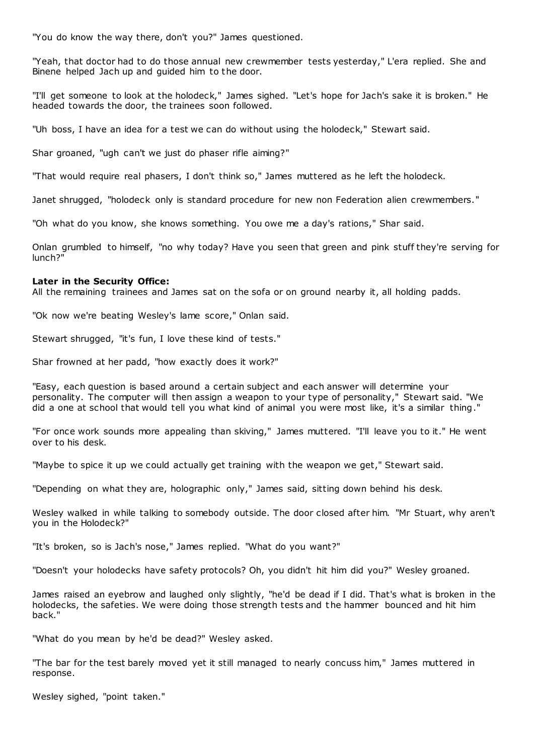"You do know the way there, don't you?" James questioned.

"Yeah, that doctor had to do those annual new crewmember tests yesterday," L'era replied. She and Binene helped Jach up and guided him to the door.

"I'll get someone to look at the holodeck," James sighed. "Let's hope for Jach's sake it is broken." He headed towards the door, the trainees soon followed.

"Uh boss, I have an idea for a test we can do without using the holodeck," Stewart said.

Shar groaned, "ugh can't we just do phaser rifle aiming?"

"That would require real phasers, I don't think so," James muttered as he left the holodeck.

Janet shrugged, "holodeck only is standard procedure for new non Federation alien crewmembers."

"Oh what do you know, she knows something. You owe me a day's rations," Shar said.

Onlan grumbled to himself, "no why today? Have you seen that green and pink stuff they're serving for lunch?"

## **Later in the Security Office:**

All the remaining trainees and James sat on the sofa or on ground nearby it, all holding padds.

"Ok now we're beating Wesley's lame score," Onlan said.

Stewart shrugged, "it's fun, I love these kind of tests."

Shar frowned at her padd, "how exactly does it work?"

"Easy, each question is based around a certain subject and each answer will determine your personality. The computer will then assign a weapon to your type of personality," Stewart said. "We did a one at school that would tell you what kind of animal you were most like, it's a similar thing."

"For once work sounds more appealing than skiving," James muttered. "I'll leave you to it." He went over to his desk.

"Maybe to spice it up we could actually get training with the weapon we get," Stewart said.

"Depending on what they are, holographic only," James said, sitting down behind his desk.

Wesley walked in while talking to somebody outside. The door closed after him. "Mr Stuart, why aren't you in the Holodeck?"

"It's broken, so is Jach's nose," James replied. "What do you want?"

"Doesn't your holodecks have safety protocols? Oh, you didn't hit him did you?" Wesley groaned.

James raised an eyebrow and laughed only slightly, "he'd be dead if I did. That's what is broken in the holodecks, the safeties. We were doing those strength tests and the hammer bounced and hit him back."

"What do you mean by he'd be dead?" Wesley asked.

"The bar for the test barely moved yet it still managed to nearly concuss him," James muttered in response.

Wesley sighed, "point taken."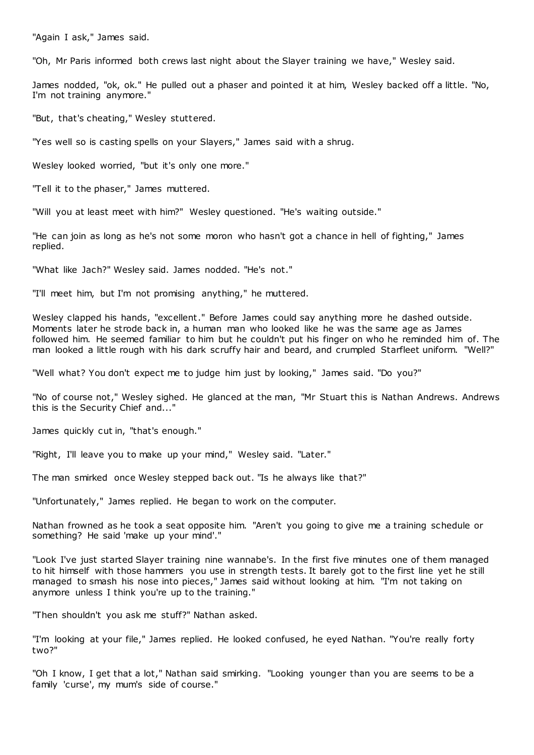"Again I ask," James said.

"Oh, Mr Paris informed both crews last night about the Slayer training we have," Wesley said.

James nodded, "ok, ok." He pulled out a phaser and pointed it at him, Wesley backed off a little. "No, I'm not training anymore."

"But, that's cheating," Wesley stuttered.

"Yes well so is casting spells on your Slayers," James said with a shrug.

Wesley looked worried, "but it's only one more."

"Tell it to the phaser," James muttered.

"Will you at least meet with him?" Wesley questioned. "He's waiting outside."

"He can join as long as he's not some moron who hasn't got a chance in hell of fighting," James replied.

"What like Jach?" Wesley said. James nodded. "He's not."

"I'll meet him, but I'm not promising anything," he muttered.

Wesley clapped his hands, "excellent." Before James could say anything more he dashed outside. Moments later he strode back in, a human man who looked like he was the same age as James followed him. He seemed familiar to him but he couldn't put his finger on who he reminded him of. The man looked a little rough with his dark scruffy hair and beard, and crumpled Starfleet uniform. "Well?"

"Well what? You don't expect me to judge him just by looking," James said. "Do you?"

"No of course not," Wesley sighed. He glanced at the man, "Mr Stuart this is Nathan Andrews. Andrews this is the Security Chief and..."

James quickly cut in, "that's enough."

"Right, I'll leave you to make up your mind," Wesley said. "Later."

The man smirked once Wesley stepped back out. "Is he always like that?"

"Unfortunately," James replied. He began to work on the computer.

Nathan frowned as he took a seat opposite him. "Aren't you going to give me a training schedule or something? He said 'make up your mind'."

"Look I've just started Slayer training nine wannabe's. In the first five minutes one of them managed to hit himself with those hammers you use in strength tests. It barely got to the first line yet he still managed to smash his nose into pieces," James said without looking at him. "I'm not taking on anymore unless I think you're up to the training."

"Then shouldn't you ask me stuff?" Nathan asked.

"I'm looking at your file," James replied. He looked confused, he eyed Nathan. "You're really forty two?"

"Oh I know, I get that a lot," Nathan said smirking. "Looking younger than you are seems to be a family 'curse', my mum's side of course."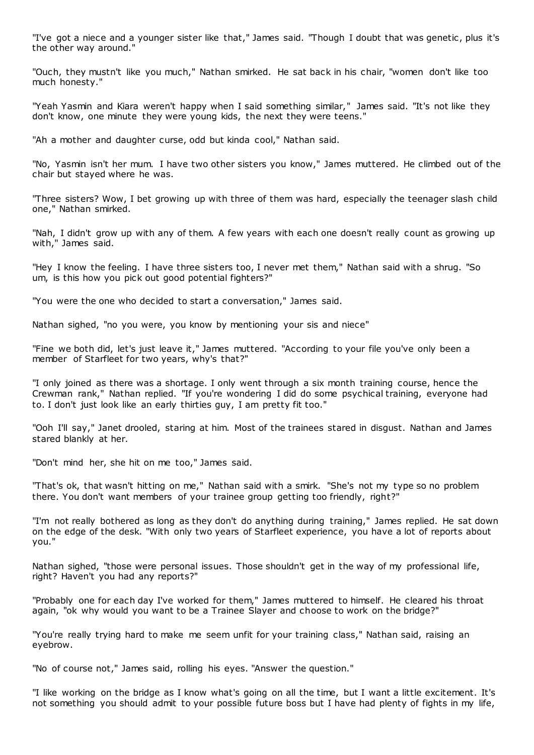"I've got a niece and a younger sister like that," James said. "Though I doubt that was genetic, plus it's the other way around."

"Ouch, they mustn't like you much," Nathan smirked. He sat back in his chair, "women don't like too much honesty."

"Yeah Yasmin and Kiara weren't happy when I said something similar," James said. "It's not like they don't know, one minute they were young kids, the next they were teens."

"Ah a mother and daughter curse, odd but kinda cool," Nathan said.

"No, Yasmin isn't her mum. I have two other sisters you know," James muttered. He climbed out of the chair but stayed where he was.

"Three sisters? Wow, I bet growing up with three of them was hard, especially the teenager slash child one," Nathan smirked.

"Nah, I didn't grow up with any of them. A few years with each one doesn't really count as growing up with," James said.

"Hey I know the feeling. I have three sisters too, I never met them," Nathan said with a shrug. "So um, is this how you pick out good potential fighters?"

"You were the one who decided to start a conversation," James said.

Nathan sighed, "no you were, you know by mentioning your sis and niece"

"Fine we both did, let's just leave it," James muttered. "According to your file you've only been a member of Starfleet for two years, why's that?"

"I only joined as there was a shortage. I only went through a six month training course, hence the Crewman rank," Nathan replied. "If you're wondering I did do some psychical training, everyone had to. I don't just look like an early thirties guy, I am pretty fit too."

"Ooh I'll say," Janet drooled, staring at him. Most of the trainees stared in disgust. Nathan and James stared blankly at her.

"Don't mind her, she hit on me too," James said.

"That's ok, that wasn't hitting on me," Nathan said with a smirk. "She's not my type so no problem there. You don't want members of your trainee group getting too friendly, right?"

"I'm not really bothered as long as they don't do anything during training," James replied. He sat down on the edge of the desk. "With only two years of Starfleet experience, you have a lot of reports about you."

Nathan sighed, "those were personal issues. Those shouldn't get in the way of my professional life, right? Haven't you had any reports?"

"Probably one for each day I've worked for them," James muttered to himself. He cleared his throat again, "ok why would you want to be a Trainee Slayer and choose to work on the bridge?"

"You're really trying hard to make me seem unfit for your training class," Nathan said, raising an eyebrow.

"No of course not," James said, rolling his eyes. "Answer the question."

"I like working on the bridge as I know what's going on all the time, but I want a little excitement. It's not something you should admit to your possible future boss but I have had plenty of fights in my life,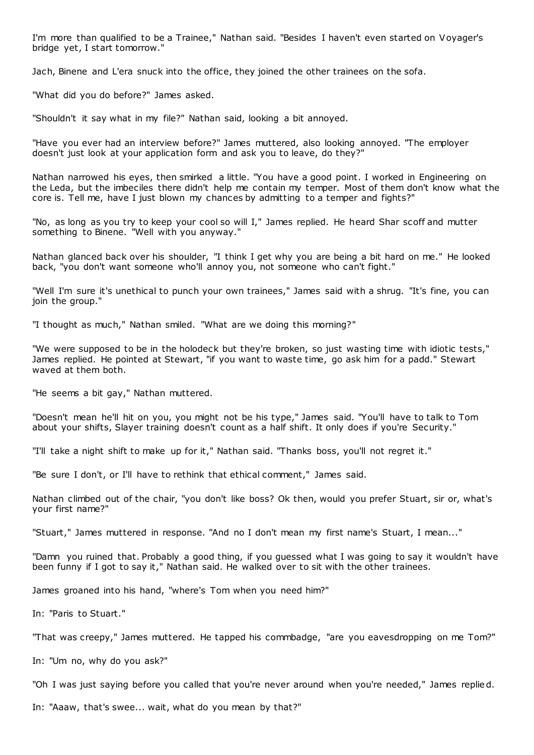I'm more than qualified to be a Trainee," Nathan said. "Besides I haven't even started on Voyager's bridge yet, I start tomorrow."

Jach, Binene and L'era snuck into the office, they joined the other trainees on the sofa.

"What did you do before?" James asked.

"Shouldn't it say what in my file?" Nathan said, looking a bit annoyed.

"Have you ever had an interview before?" James muttered, also looking annoyed. "The employer doesn't just look at your application form and ask you to leave, do they?"

Nathan narrowed his eyes, then smirked a little. "You have a good point. I worked in Engineering on the Leda, but the imbeciles there didn't help me contain my temper. Most of them don't know what the core is. Tell me, have I just blown my chances by admitting to a temper and fights?"

"No, as long as you try to keep your cool so will I," James replied. He heard Shar scoff and mutter something to Binene. "Well with you anyway."

Nathan glanced back over his shoulder, "I think I get why you are being a bit hard on me." He looked back, "you don't want someone who'll annoy you, not someone who can't fight."

"Well I'm sure it's unethical to punch your own trainees," James said with a shrug. "It's fine, you can join the group."

"I thought as much," Nathan smiled. "What are we doing this morning?"

"We were supposed to be in the holodeck but they're broken, so just wasting time with idiotic tests," James replied. He pointed at Stewart, "if you want to waste time, go ask him for a padd." Stewart waved at them both.

"He seems a bit gay," Nathan muttered.

"Doesn't mean he'll hit on you, you might not be his type," James said. "You'll have to talk to Tom about your shifts, Slayer training doesn't count as a half shift. It only does if you're Security."

"I'll take a night shift to make up for it," Nathan said. "Thanks boss, you'll not regret it."

"Be sure I don't, or I'll have to rethink that ethical comment," James said.

Nathan climbed out of the chair, "you don't like boss? Ok then, would you prefer Stuart, sir or, what's your first name?"

"Stuart," James muttered in response. "And no I don't mean my first name's Stuart, I mean..."

"Damn you ruined that. Probably a good thing, if you guessed what I was going to say it wouldn't have been funny if I got to say it," Nathan said. He walked over to sit with the other trainees.

James groaned into his hand, "where's Tom when you need him?"

In: "Paris to Stuart."

"That was creepy," James muttered. He tapped his commbadge, "are you eavesdropping on me Tom?"

In: "Um no, why do you ask?"

"Oh I was just saying before you called that you're never around when you're needed," James replied.

In: "Aaaw, that's swee... wait, what do you mean by that?"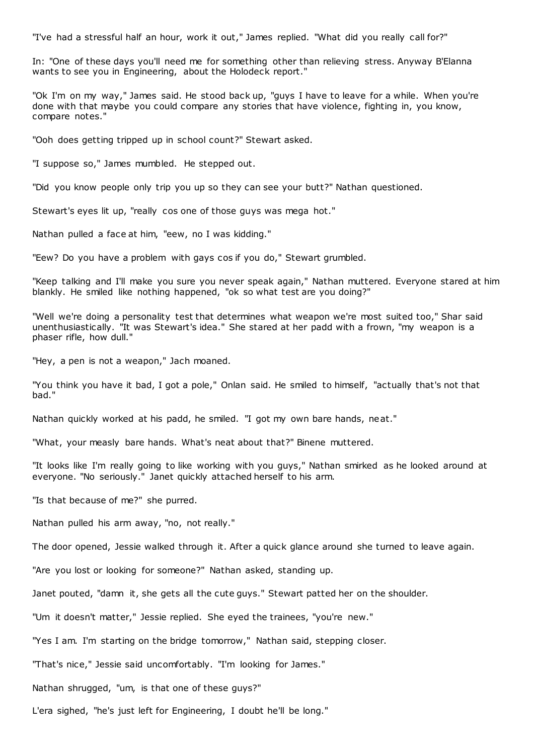"I've had a stressful half an hour, work it out," James replied. "What did you really call for?"

In: "One of these days you'll need me for something other than relieving stress. Anyway B'Elanna wants to see you in Engineering, about the Holodeck report."

"Ok I'm on my way," James said. He stood back up, "guys I have to leave for a while. When you're done with that maybe you could compare any stories that have violence, fighting in, you know, compare notes."

"Ooh does getting tripped up in school count?" Stewart asked.

"I suppose so," James mumbled. He stepped out.

"Did you know people only trip you up so they can see your butt?" Nathan questioned.

Stewart's eyes lit up, "really cos one of those guys was mega hot."

Nathan pulled a face at him, "eew, no I was kidding."

"Eew? Do you have a problem with gays cos if you do," Stewart grumbled.

"Keep talking and I'll make you sure you never speak again," Nathan muttered. Everyone stared at him blankly. He smiled like nothing happened, "ok so what test are you doing?"

"Well we're doing a personality test that determines what weapon we're most suited too," Shar said unenthusiastically. "It was Stewart's idea." She stared at her padd with a frown, "my weapon is a phaser rifle, how dull."

"Hey, a pen is not a weapon," Jach moaned.

"You think you have it bad, I got a pole," Onlan said. He smiled to himself, "actually that's not that bad."

Nathan quickly worked at his padd, he smiled. "I got my own bare hands, neat."

"What, your measly bare hands. What's neat about that?" Binene muttered.

"It looks like I'm really going to like working with you guys," Nathan smirked as he looked around at everyone. "No seriously." Janet quickly attached herself to his arm.

"Is that because of me?" she purred.

Nathan pulled his arm away, "no, not really."

The door opened, Jessie walked through it. After a quick glance around she turned to leave again.

"Are you lost or looking for someone?" Nathan asked, standing up.

Janet pouted, "damn it, she gets all the cute guys." Stewart patted her on the shoulder.

"Um it doesn't matter," Jessie replied. She eyed the trainees, "you're new."

"Yes I am. I'm starting on the bridge tomorrow," Nathan said, stepping closer.

"That's nice," Jessie said uncomfortably. "I'm looking for James."

Nathan shrugged, "um, is that one of these guys?"

L'era sighed, "he's just left for Engineering, I doubt he'll be long."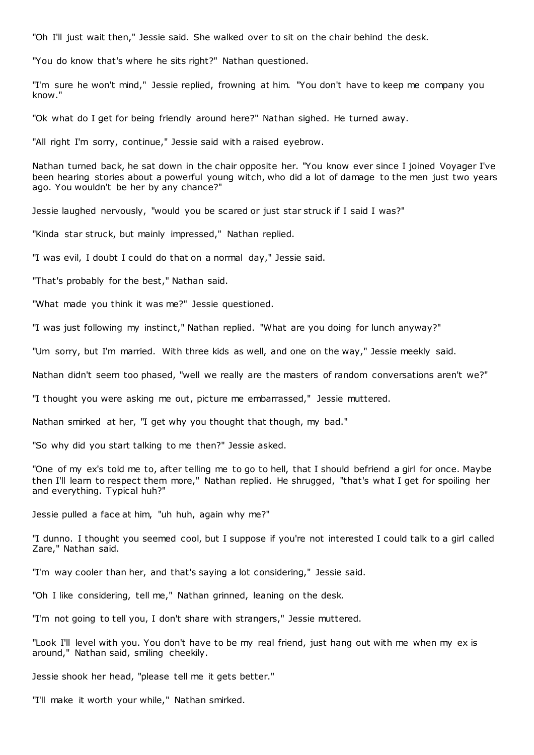"Oh I'll just wait then," Jessie said. She walked over to sit on the chair behind the desk.

"You do know that's where he sits right?" Nathan questioned.

"I'm sure he won't mind," Jessie replied, frowning at him. "You don't have to keep me company you know."

"Ok what do I get for being friendly around here?" Nathan sighed. He turned away.

"All right I'm sorry, continue," Jessie said with a raised eyebrow.

Nathan turned back, he sat down in the chair opposite her. "You know ever since I joined Voyager I've been hearing stories about a powerful young witch, who did a lot of damage to the men just two years ago. You wouldn't be her by any chance?"

Jessie laughed nervously, "would you be scared or just star struck if I said I was?"

"Kinda star struck, but mainly impressed," Nathan replied.

"I was evil, I doubt I could do that on a normal day," Jessie said.

"That's probably for the best," Nathan said.

"What made you think it was me?" Jessie questioned.

"I was just following my instinct," Nathan replied. "What are you doing for lunch anyway?"

"Um sorry, but I'm married. With three kids as well, and one on the way," Jessie meekly said.

Nathan didn't seem too phased, "well we really are the masters of random conversations aren't we?"

"I thought you were asking me out, picture me embarrassed," Jessie muttered.

Nathan smirked at her, "I get why you thought that though, my bad."

"So why did you start talking to me then?" Jessie asked.

"One of my ex's told me to, after telling me to go to hell, that I should befriend a girl for once. Maybe then I'll learn to respect them more," Nathan replied. He shrugged, "that's what I get for spoiling her and everything. Typical huh?"

Jessie pulled a face at him, "uh huh, again why me?"

"I dunno. I thought you seemed cool, but I suppose if you're not interested I could talk to a girl called Zare," Nathan said.

"I'm way cooler than her, and that's saying a lot considering," Jessie said.

"Oh I like considering, tell me," Nathan grinned, leaning on the desk.

"I'm not going to tell you, I don't share with strangers," Jessie muttered.

"Look I'll level with you. You don't have to be my real friend, just hang out with me when my ex is around," Nathan said, smiling cheekily.

Jessie shook her head, "please tell me it gets better."

"I'll make it worth your while," Nathan smirked.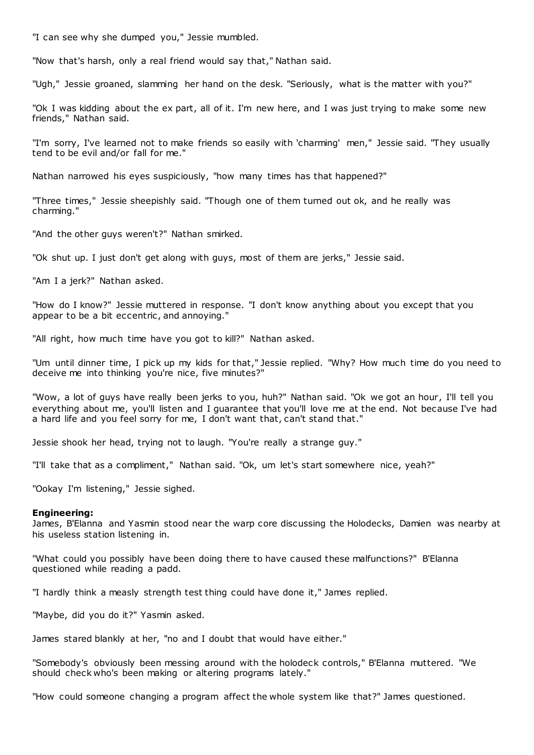"I can see why she dumped you," Jessie mumbled.

"Now that's harsh, only a real friend would say that," Nathan said.

"Ugh," Jessie groaned, slamming her hand on the desk. "Seriously, what is the matter with you?"

"Ok I was kidding about the ex part, all of it. I'm new here, and I was just trying to make some new friends," Nathan said.

"I'm sorry, I've learned not to make friends so easily with 'charming' men," Jessie said. "They usually tend to be evil and/or fall for me."

Nathan narrowed his eyes suspiciously, "how many times has that happened?"

"Three times," Jessie sheepishly said. "Though one of them turned out ok, and he really was charming."

"And the other guys weren't?" Nathan smirked.

"Ok shut up. I just don't get along with guys, most of them are jerks," Jessie said.

"Am I a jerk?" Nathan asked.

"How do I know?" Jessie muttered in response. "I don't know anything about you except that you appear to be a bit eccentric, and annoying."

"All right, how much time have you got to kill?" Nathan asked.

"Um until dinner time, I pick up my kids for that," Jessie replied. "Why? How much time do you need to deceive me into thinking you're nice, five minutes?"

"Wow, a lot of guys have really been jerks to you, huh?" Nathan said. "Ok we got an hour, I'll tell you everything about me, you'll listen and I guarantee that you'll love me at the end. Not because I've had a hard life and you feel sorry for me, I don't want that, can't stand that."

Jessie shook her head, trying not to laugh. "You're really a strange guy."

"I'll take that as a compliment," Nathan said. "Ok, um let's start somewhere nice, yeah?"

"Ookay I'm listening," Jessie sighed.

#### **Engineering:**

James, B'Elanna and Yasmin stood near the warp core discussing the Holodecks, Damien was nearby at his useless station listening in.

"What could you possibly have been doing there to have caused these malfunctions?" B'Elanna questioned while reading a padd.

"I hardly think a measly strength test thing could have done it," James replied.

"Maybe, did you do it?" Yasmin asked.

James stared blankly at her, "no and I doubt that would have either."

"Somebody's obviously been messing around with the holodeck controls," B'Elanna muttered. "We should check who's been making or altering programs lately."

"How could someone changing a program affect the whole system like that?" James questioned.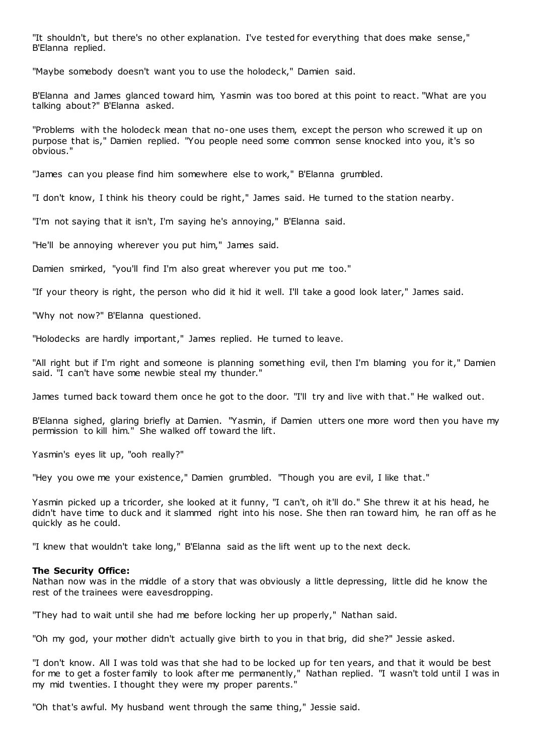"It shouldn't, but there's no other explanation. I've tested for everything that does make sense," B'Elanna replied.

"Maybe somebody doesn't want you to use the holodeck," Damien said.

B'Elanna and James glanced toward him, Yasmin was too bored at this point to react. "What are you talking about?" B'Elanna asked.

"Problems with the holodeck mean that no-one uses them, except the person who screwed it up on purpose that is," Damien replied. "You people need some common sense knocked into you, it's so obvious."

"James can you please find him somewhere else to work," B'Elanna grumbled.

"I don't know, I think his theory could be right," James said. He turned to the station nearby.

"I'm not saying that it isn't, I'm saying he's annoying," B'Elanna said.

"He'll be annoying wherever you put him," James said.

Damien smirked, "you'll find I'm also great wherever you put me too."

"If your theory is right, the person who did it hid it well. I'll take a good look later," James said.

"Why not now?" B'Elanna questioned.

"Holodecks are hardly important," James replied. He turned to leave.

"All right but if I'm right and someone is planning something evil, then I'm blaming you for it," Damien said. "I can't have some newbie steal my thunder."

James turned back toward them once he got to the door. "I'll try and live with that." He walked out.

B'Elanna sighed, glaring briefly at Damien. "Yasmin, if Damien utters one more word then you have my permission to kill him." She walked off toward the lift.

Yasmin's eyes lit up, "ooh really?"

"Hey you owe me your existence," Damien grumbled. "Though you are evil, I like that."

Yasmin picked up a tricorder, she looked at it funny, "I can't, oh it'll do." She threw it at his head, he didn't have time to duck and it slammed right into his nose. She then ran toward him, he ran off as he quickly as he could.

"I knew that wouldn't take long," B'Elanna said as the lift went up to the next deck.

## **The Security Office:**

Nathan now was in the middle of a story that was obviously a little depressing, little did he know the rest of the trainees were eavesdropping.

"They had to wait until she had me before locking her up properly," Nathan said.

"Oh my god, your mother didn't actually give birth to you in that brig, did she?" Jessie asked.

"I don't know. All I was told was that she had to be locked up for ten years, and that it would be best for me to get a foster family to look after me permanently," Nathan replied. "I wasn't told until I was in my mid twenties. I thought they were my proper parents."

"Oh that's awful. My husband went through the same thing," Jessie said.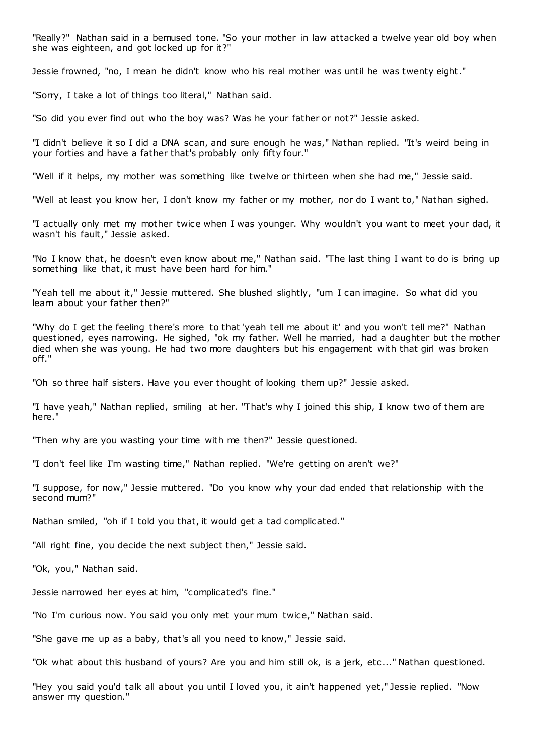"Really?" Nathan said in a bemused tone. "So your mother in law attacked a twelve year old boy when she was eighteen, and got locked up for it?"

Jessie frowned, "no, I mean he didn't know who his real mother was until he was twenty eight."

"Sorry, I take a lot of things too literal," Nathan said.

"So did you ever find out who the boy was? Was he your father or not?" Jessie asked.

"I didn't believe it so I did a DNA scan, and sure enough he was," Nathan replied. "It's weird being in your forties and have a father that's probably only fifty four."

"Well if it helps, my mother was something like twelve or thirteen when she had me," Jessie said.

"Well at least you know her, I don't know my father or my mother, nor do I want to," Nathan sighed.

"I actually only met my mother twice when I was younger. Why wouldn't you want to meet your dad, it wasn't his fault," Jessie asked.

"No I know that, he doesn't even know about me," Nathan said. "The last thing I want to do is bring up something like that, it must have been hard for him."

"Yeah tell me about it," Jessie muttered. She blushed slightly, "um I can imagine. So what did you learn about your father then?"

"Why do I get the feeling there's more to that 'yeah tell me about it' and you won't tell me?" Nathan questioned, eyes narrowing. He sighed, "ok my father. Well he married, had a daughter but the mother died when she was young. He had two more daughters but his engagement with that girl was broken off."

"Oh so three half sisters. Have you ever thought of looking them up?" Jessie asked.

"I have yeah," Nathan replied, smiling at her. "That's why I joined this ship, I know two of them are here."

"Then why are you wasting your time with me then?" Jessie questioned.

"I don't feel like I'm wasting time," Nathan replied. "We're getting on aren't we?"

"I suppose, for now," Jessie muttered. "Do you know why your dad ended that relationship with the second mum?"

Nathan smiled, "oh if I told you that, it would get a tad complicated."

"All right fine, you decide the next subject then," Jessie said.

"Ok, you," Nathan said.

Jessie narrowed her eyes at him, "complicated's fine."

"No I'm curious now. You said you only met your mum twice," Nathan said.

"She gave me up as a baby, that's all you need to know," Jessie said.

"Ok what about this husband of yours? Are you and him still ok, is a jerk, etc..." Nathan questioned.

"Hey you said you'd talk all about you until I loved you, it ain't happened yet," Jessie replied. "Now answer my question."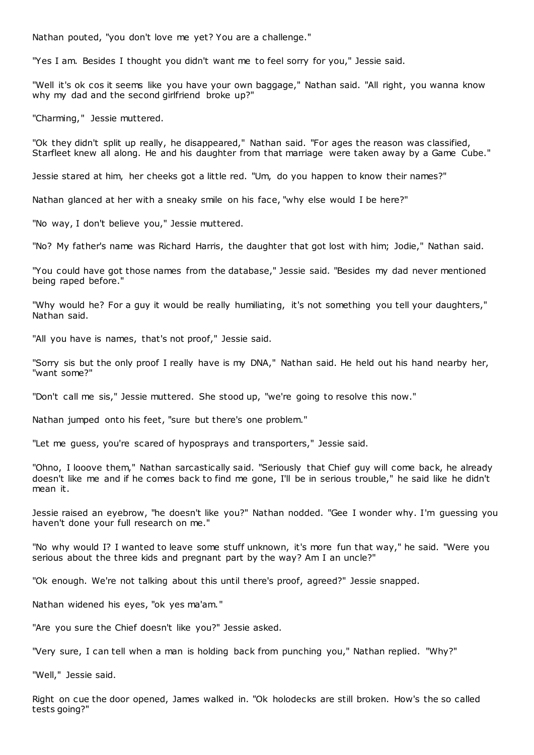Nathan pouted, "you don't love me yet? You are a challenge."

"Yes I am. Besides I thought you didn't want me to feel sorry for you," Jessie said.

"Well it's ok cos it seems like you have your own baggage," Nathan said. "All right, you wanna know why my dad and the second girlfriend broke up?"

"Charming," Jessie muttered.

"Ok they didn't split up really, he disappeared," Nathan said. "For ages the reason was classified, Starfleet knew all along. He and his daughter from that marriage were taken away by a Game Cube."

Jessie stared at him, her cheeks got a little red. "Um, do you happen to know their names?"

Nathan glanced at her with a sneaky smile on his face, "why else would I be here?"

"No way, I don't believe you," Jessie muttered.

"No? My father's name was Richard Harris, the daughter that got lost with him; Jodie," Nathan said.

"You could have got those names from the database," Jessie said. "Besides my dad never mentioned being raped before."

"Why would he? For a guy it would be really humiliating, it's not something you tell your daughters," Nathan said.

"All you have is names, that's not proof," Jessie said.

"Sorry sis but the only proof I really have is my DNA," Nathan said. He held out his hand nearby her, "want some?"

"Don't call me sis," Jessie muttered. She stood up, "we're going to resolve this now."

Nathan jumped onto his feet, "sure but there's one problem."

"Let me guess, you're scared of hyposprays and transporters," Jessie said.

"Ohno, I looove them," Nathan sarcastically said. "Seriously that Chief guy will come back, he already doesn't like me and if he comes back to find me gone, I'll be in serious trouble," he said like he didn't mean it.

Jessie raised an eyebrow, "he doesn't like you?" Nathan nodded. "Gee I wonder why. I'm guessing you haven't done your full research on me."

"No why would I? I wanted to leave some stuff unknown, it's more fun that way," he said. "Were you serious about the three kids and pregnant part by the way? Am I an uncle?"

"Ok enough. We're not talking about this until there's proof, agreed?" Jessie snapped.

Nathan widened his eyes, "ok yes ma'am."

"Are you sure the Chief doesn't like you?" Jessie asked.

"Very sure, I can tell when a man is holding back from punching you," Nathan replied. "Why?"

"Well," Jessie said.

Right on cue the door opened, James walked in. "Ok holodecks are still broken. How's the so called tests going?"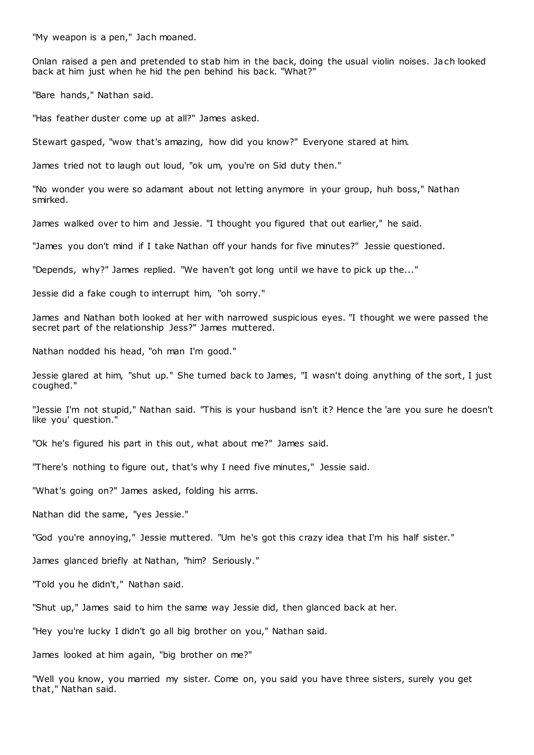"My weapon is a pen," Jach moaned.

Onlan raised a pen and pretended to stab him in the back, doing the usual violin noises. Jach looked back at him just when he hid the pen behind his back. "What?"

"Bare hands," Nathan said.

"Has feather duster come up at all?" James asked.

Stewart gasped, "wow that's amazing, how did you know?" Everyone stared at him.

James tried not to laugh out loud, "ok um, you're on Sid duty then."

"No wonder you were so adamant about not letting anymore in your group, huh boss," Nathan smirked.

James walked over to him and Jessie. "I thought you figured that out earlier," he said.

"James you don't mind if I take Nathan off your hands for five minutes?" Jessie questioned.

"Depends, why?" James replied. "We haven't got long until we have to pick up the..."

Jessie did a fake cough to interrupt him, "oh sorry."

James and Nathan both looked at her with narrowed suspicious eyes. "I thought we were passed the secret part of the relationship Jess?" James muttered.

Nathan nodded his head, "oh man I'm good."

Jessie glared at him, "shut up." She turned back to James, "I wasn't doing anything of the sort, I just coughed."

"Jessie I'm not stupid," Nathan said. "This is your husband isn't it? Hence the 'are you sure he doesn't like you' question."

"Ok he's figured his part in this out, what about me?" James said.

"There's nothing to figure out, that's why I need five minutes," Jessie said.

"What's going on?" James asked, folding his arms.

Nathan did the same, "yes Jessie."

"God you're annoying," Jessie muttered. "Um he's got this crazy idea that I'm his half sister."

James glanced briefly at Nathan, "him? Seriously."

"Told you he didn't," Nathan said.

"Shut up," James said to him the same way Jessie did, then glanced back at her.

"Hey you're lucky I didn't go all big brother on you," Nathan said.

James looked at him again, "big brother on me?"

"Well you know, you married my sister. Come on, you said you have three sisters, surely you get that," Nathan said.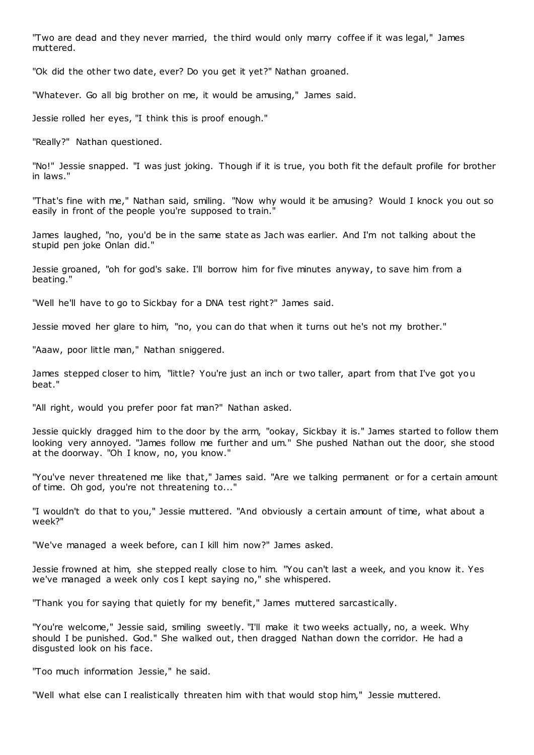"Two are dead and they never married, the third would only marry coffee if it was legal," James muttered.

"Ok did the other two date, ever? Do you get it yet?" Nathan groaned.

"Whatever. Go all big brother on me, it would be amusing," James said.

Jessie rolled her eyes, "I think this is proof enough."

"Really?" Nathan questioned.

"No!" Jessie snapped. "I was just joking. Though if it is true, you both fit the default profile for brother in laws."

"That's fine with me," Nathan said, smiling. "Now why would it be amusing? Would I knock you out so easily in front of the people you're supposed to train.

James laughed, "no, you'd be in the same state as Jach was earlier. And I'm not talking about the stupid pen joke Onlan did."

Jessie groaned, "oh for god's sake. I'll borrow him for five minutes anyway, to save him from a beating."

"Well he'll have to go to Sickbay for a DNA test right?" James said.

Jessie moved her glare to him, "no, you can do that when it turns out he's not my brother."

"Aaaw, poor little man," Nathan sniggered.

James stepped closer to him, "little? You're just an inch or two taller, apart from that I've got you beat."

"All right, would you prefer poor fat man?" Nathan asked.

Jessie quickly dragged him to the door by the arm, "ookay, Sickbay it is." James started to follow them looking very annoyed. "James follow me further and um." She pushed Nathan out the door, she stood at the doorway. "Oh I know, no, you know."

"You've never threatened me like that," James said. "Are we talking permanent or for a certain amount of time. Oh god, you're not threatening to..."

"I wouldn't do that to you," Jessie muttered. "And obviously a certain amount of time, what about a week?"

"We've managed a week before, can I kill him now?" James asked.

Jessie frowned at him, she stepped really close to him. "You can't last a week, and you know it. Yes we've managed a week only cos I kept saying no," she whispered.

"Thank you for saying that quietly for my benefit," James muttered sarcastically.

"You're welcome," Jessie said, smiling sweetly. "I'll make it two weeks actually, no, a week. Why should I be punished. God." She walked out, then dragged Nathan down the corridor. He had a disgusted look on his face.

"Too much information Jessie," he said.

"Well what else can I realistically threaten him with that would stop him," Jessie muttered.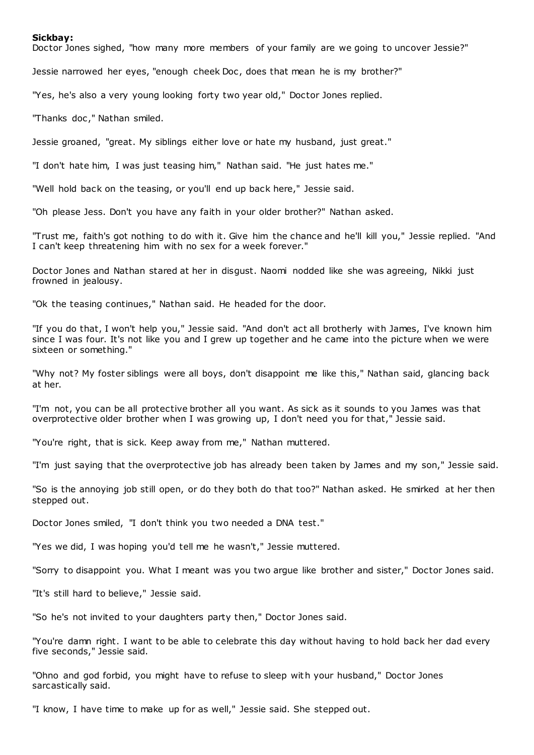#### **Sickbay:**

Doctor Jones sighed, "how many more members of your family are we going to uncover Jessie?"

Jessie narrowed her eyes, "enough cheek Doc, does that mean he is my brother?"

"Yes, he's also a very young looking forty two year old," Doctor Jones replied.

"Thanks doc ," Nathan smiled.

Jessie groaned, "great. My siblings either love or hate my husband, just great."

"I don't hate him, I was just teasing him," Nathan said. "He just hates me."

"Well hold back on the teasing, or you'll end up back here," Jessie said.

"Oh please Jess. Don't you have any faith in your older brother?" Nathan asked.

"Trust me, faith's got nothing to do with it. Give him the chance and he'll kill you," Jessie replied. "And I can't keep threatening him with no sex for a week forever."

Doctor Jones and Nathan stared at her in disgust. Naomi nodded like she was agreeing, Nikki just frowned in jealousy.

"Ok the teasing continues," Nathan said. He headed for the door.

"If you do that, I won't help you," Jessie said. "And don't act all brotherly with James, I've known him since I was four. It's not like you and I grew up together and he came into the picture when we were sixteen or something."

"Why not? My foster siblings were all boys, don't disappoint me like this," Nathan said, glancing back at her.

"I'm not, you can be all protective brother all you want. As sick as it sounds to you James was that overprotective older brother when I was growing up, I don't need you for that," Jessie said.

"You're right, that is sick. Keep away from me," Nathan muttered.

"I'm just saying that the overprotective job has already been taken by James and my son," Jessie said.

"So is the annoying job still open, or do they both do that too?" Nathan asked. He smirked at her then stepped out.

Doctor Jones smiled, "I don't think you two needed a DNA test."

"Yes we did, I was hoping you'd tell me he wasn't," Jessie muttered.

"Sorry to disappoint you. What I meant was you two argue like brother and sister," Doctor Jones said.

"It's still hard to believe," Jessie said.

"So he's not invited to your daughters party then," Doctor Jones said.

"You're damn right. I want to be able to celebrate this day without having to hold back her dad every five seconds," Jessie said.

"Ohno and god forbid, you might have to refuse to sleep with your husband," Doctor Jones sarcastically said.

"I know, I have time to make up for as well," Jessie said. She stepped out.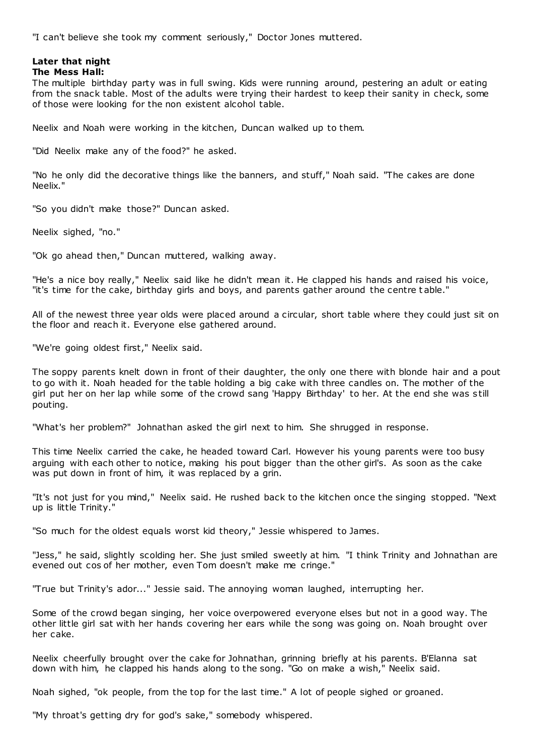"I can't believe she took my comment seriously," Doctor Jones muttered.

# **Later that night**

# **The Mess Hall:**

The multiple birthday party was in full swing. Kids were running around, pestering an adult or eating from the snack table. Most of the adults were trying their hardest to keep their sanity in check, some of those were looking for the non existent alcohol table.

Neelix and Noah were working in the kitchen, Duncan walked up to them.

"Did Neelix make any of the food?" he asked.

"No he only did the decorative things like the banners, and stuff," Noah said. "The cakes are done Neelix."

"So you didn't make those?" Duncan asked.

Neelix sighed, "no."

"Ok go ahead then," Duncan muttered, walking away.

"He's a nice boy really," Neelix said like he didn't mean it. He clapped his hands and raised his voice, "it's time for the cake, birthday girls and boys, and parents gather around the centre t able."

All of the newest three year olds were placed around a circular, short table where they could just sit on the floor and reach it. Everyone else gathered around.

"We're going oldest first," Neelix said.

The soppy parents knelt down in front of their daughter, the only one there with blonde hair and a pout to go with it. Noah headed for the table holding a big cake with three candles on. The mother of the girl put her on her lap while some of the crowd sang 'Happy Birthday' to her. At the end she was s till pouting.

"What's her problem?" Johnathan asked the girl next to him. She shrugged in response.

This time Neelix carried the cake, he headed toward Carl. However his young parents were too busy arguing with each other to notice, making his pout bigger than the other girl's. As soon as the cake was put down in front of him, it was replaced by a grin.

"It's not just for you mind," Neelix said. He rushed back to the kitchen once the singing stopped. "Next up is little Trinity."

"So much for the oldest equals worst kid theory," Jessie whispered to James.

"Jess," he said, slightly scolding her. She just smiled sweetly at him. "I think Trinity and Johnathan are evened out cos of her mother, even Tom doesn't make me cringe."

"True but Trinity's ador..." Jessie said. The annoying woman laughed, interrupting her.

Some of the crowd began singing, her voice overpowered everyone elses but not in a good way. The other little girl sat with her hands covering her ears while the song was going on. Noah brought over her cake.

Neelix cheerfully brought over the cake for Johnathan, grinning briefly at his parents. B'Elanna sat down with him, he clapped his hands along to the song. "Go on make a wish," Neelix said.

Noah sighed, "ok people, from the top for the last time." A lot of people sighed or groaned.

"My throat's getting dry for god's sake," somebody whispered.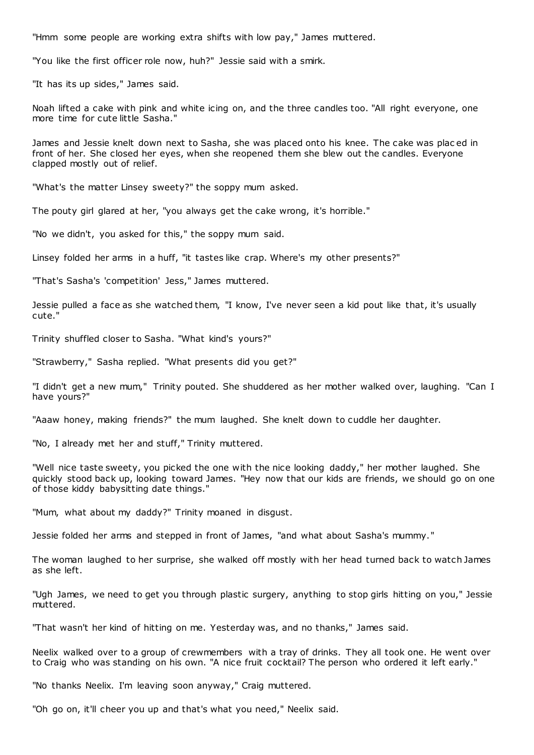"Hmm some people are working extra shifts with low pay," James muttered.

"You like the first officer role now, huh?" Jessie said with a smirk.

"It has its up sides," James said.

Noah lifted a cake with pink and white icing on, and the three candles too. "All right everyone, one more time for cute little Sasha."

James and Jessie knelt down next to Sasha, she was placed onto his knee. The cake was plac ed in front of her. She closed her eyes, when she reopened them she blew out the candles. Everyone clapped mostly out of relief.

"What's the matter Linsey sweety?" the soppy mum asked.

The pouty girl glared at her, "you always get the cake wrong, it's horrible."

"No we didn't, you asked for this," the soppy mum said.

Linsey folded her arms in a huff, "it tastes like crap. Where's my other presents?"

"That's Sasha's 'competition' Jess," James muttered.

Jessie pulled a face as she watched them, "I know, I've never seen a kid pout like that, it's usually cute."

Trinity shuffled closer to Sasha. "What kind's yours?"

"Strawberry," Sasha replied. "What presents did you get?"

"I didn't get a new mum," Trinity pouted. She shuddered as her mother walked over, laughing. "Can I have yours?"

"Aaaw honey, making friends?" the mum laughed. She knelt down to cuddle her daughter.

"No, I already met her and stuff," Trinity muttered.

"Well nice taste sweety, you picked the one with the nice looking daddy," her mother laughed. She quickly stood back up, looking toward James. "Hey now that our kids are friends, we should go on one of those kiddy babysitting date things."

"Mum, what about my daddy?" Trinity moaned in disgust.

Jessie folded her arms and stepped in front of James, "and what about Sasha's mummy."

The woman laughed to her surprise, she walked off mostly with her head turned back to watch James as she left.

"Ugh James, we need to get you through plastic surgery, anything to stop girls hitting on you," Jessie muttered.

"That wasn't her kind of hitting on me. Yesterday was, and no thanks," James said.

Neelix walked over to a group of crewmembers with a tray of drinks. They all took one. He went over to Craig who was standing on his own. "A nice fruit cocktail? The person who ordered it left early."

"No thanks Neelix. I'm leaving soon anyway," Craig muttered.

"Oh go on, it'll cheer you up and that's what you need," Neelix said.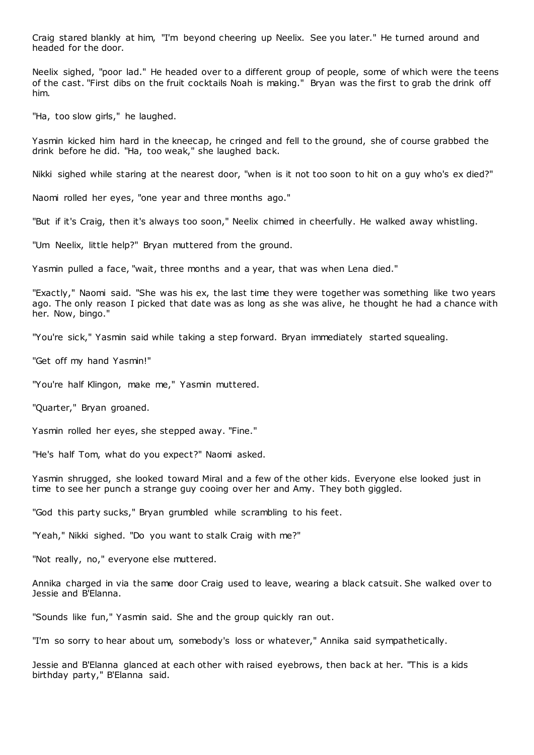Craig stared blankly at him, "I'm beyond cheering up Neelix. See you later." He turned around and headed for the door.

Neelix sighed, "poor lad." He headed over to a different group of people, some of which were the teens of the cast. "First dibs on the fruit cocktails Noah is making." Bryan was the first to grab the drink off him.

"Ha, too slow girls," he laughed.

Yasmin kicked him hard in the kneecap, he cringed and fell to the ground, she of course grabbed the drink before he did. "Ha, too weak," she laughed back.

Nikki sighed while staring at the nearest door, "when is it not too soon to hit on a guy who's ex died?"

Naomi rolled her eyes, "one year and three months ago."

"But if it's Craig, then it's always too soon," Neelix chimed in cheerfully. He walked away whistling.

"Um Neelix, little help?" Bryan muttered from the ground.

Yasmin pulled a face, "wait, three months and a year, that was when Lena died."

"Exactly," Naomi said. "She was his ex, the last time they were together was something like two years ago. The only reason I picked that date was as long as she was alive, he thought he had a chance with her. Now, bingo."

"You're sick," Yasmin said while taking a step forward. Bryan immediately started squealing.

"Get off my hand Yasmin!"

"You're half Klingon, make me," Yasmin muttered.

"Quarter," Bryan groaned.

Yasmin rolled her eyes, she stepped away. "Fine."

"He's half Tom, what do you expect?" Naomi asked.

Yasmin shrugged, she looked toward Miral and a few of the other kids. Everyone else looked just in time to see her punch a strange guy cooing over her and Amy. They both giggled.

"God this party sucks," Bryan grumbled while scrambling to his feet.

"Yeah," Nikki sighed. "Do you want to stalk Craig with me?"

"Not really, no," everyone else muttered.

Annika charged in via the same door Craig used to leave, wearing a black catsuit. She walked over to Jessie and B'Elanna.

"Sounds like fun," Yasmin said. She and the group quickly ran out.

"I'm so sorry to hear about um, somebody's loss or whatever," Annika said sympathetically.

Jessie and B'Elanna glanced at each other with raised eyebrows, then back at her. "This is a kids birthday party," B'Elanna said.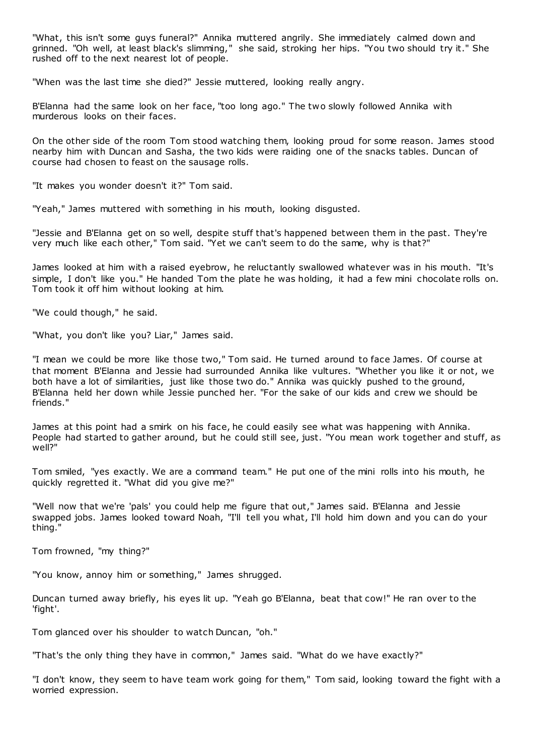"What, this isn't some guys funeral?" Annika muttered angrily. She immediately calmed down and grinned. "Oh well, at least black's slimming," she said, stroking her hips. "You two should try it." She rushed off to the next nearest lot of people.

"When was the last time she died?" Jessie muttered, looking really angry.

B'Elanna had the same look on her face, "too long ago." The two slowly followed Annika with murderous looks on their faces.

On the other side of the room Tom stood watching them, looking proud for some reason. James stood nearby him with Duncan and Sasha, the two kids were raiding one of the snacks tables. Duncan of course had chosen to feast on the sausage rolls.

"It makes you wonder doesn't it?" Tom said.

"Yeah," James muttered with something in his mouth, looking disgusted.

"Jessie and B'Elanna get on so well, despite stuff that's happened between them in the past. They're very much like each other," Tom said. "Yet we can't seem to do the same, why is that?"

James looked at him with a raised eyebrow, he reluctantly swallowed whatever was in his mouth. "It's simple, I don't like you." He handed Tom the plate he was holding, it had a few mini chocolate rolls on. Tom took it off him without looking at him.

"We could though," he said.

"What, you don't like you? Liar," James said.

"I mean we could be more like those two," Tom said. He turned around to face James. Of course at that moment B'Elanna and Jessie had surrounded Annika like vultures. "Whether you like it or not, we both have a lot of similarities, just like those two do." Annika was quickly pushed to the ground, B'Elanna held her down while Jessie punched her. "For the sake of our kids and crew we should be friends."

James at this point had a smirk on his face, he could easily see what was happening with Annika. People had started to gather around, but he could still see, just. "You mean work together and stuff, as well?"

Tom smiled, "yes exactly. We are a command team." He put one of the mini rolls into his mouth, he quickly regretted it. "What did you give me?"

"Well now that we're 'pals' you could help me figure that out," James said. B'Elanna and Jessie swapped jobs. James looked toward Noah, "I'll tell you what, I'll hold him down and you can do your thing."

Tom frowned, "my thing?"

"You know, annoy him or something," James shrugged.

Duncan turned away briefly, his eyes lit up. "Yeah go B'Elanna, beat that cow!" He ran over to the 'fight'.

Tom glanced over his shoulder to watch Duncan, "oh."

"That's the only thing they have in common," James said. "What do we have exactly?"

"I don't know, they seem to have team work going for them," Tom said, looking toward the fight with a worried expression.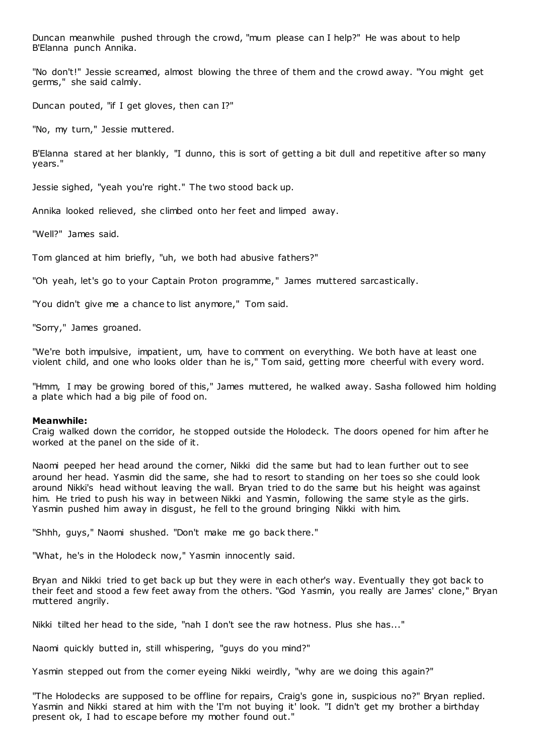Duncan meanwhile pushed through the crowd, "mum please can I help?" He was about to help B'Elanna punch Annika.

"No don't!" Jessie screamed, almost blowing the three of them and the crowd away. "You might get germs," she said calmly.

Duncan pouted, "if I get gloves, then can I?"

"No, my turn," Jessie muttered.

B'Elanna stared at her blankly, "I dunno, this is sort of getting a bit dull and repetitive after so many years."

Jessie sighed, "yeah you're right." The two stood back up.

Annika looked relieved, she climbed onto her feet and limped away.

"Well?" James said.

Tom glanced at him briefly, "uh, we both had abusive fathers?"

"Oh yeah, let's go to your Captain Proton programme," James muttered sarcastically.

"You didn't give me a chance to list anymore," Tom said.

"Sorry," James groaned.

"We're both impulsive, impatient, um, have to comment on everything. We both have at least one violent child, and one who looks older than he is," Tom said, getting more cheerful with every word.

"Hmm, I may be growing bored of this," James muttered, he walked away. Sasha followed him holding a plate which had a big pile of food on.

#### **Meanwhile:**

Craig walked down the corridor, he stopped outside the Holodeck. The doors opened for him after he worked at the panel on the side of it.

Naomi peeped her head around the corner, Nikki did the same but had to lean further out to see around her head. Yasmin did the same, she had to resort to standing on her toes so she could look around Nikki's head without leaving the wall. Bryan tried to do the same but his height was against him. He tried to push his way in between Nikki and Yasmin, following the same style as the girls. Yasmin pushed him away in disgust, he fell to the ground bringing Nikki with him.

"Shhh, guys," Naomi shushed. "Don't make me go back there."

"What, he's in the Holodeck now," Yasmin innocently said.

Bryan and Nikki tried to get back up but they were in each other's way. Eventually they got back to their feet and stood a few feet away from the others. "God Yasmin, you really are James' clone," Bryan muttered angrily.

Nikki tilted her head to the side, "nah I don't see the raw hotness. Plus she has..."

Naomi quickly butted in, still whispering, "guys do you mind?"

Yasmin stepped out from the corner eyeing Nikki weirdly, "why are we doing this again?"

"The Holodecks are supposed to be offline for repairs, Craig's gone in, suspicious no?" Bryan replied. Yasmin and Nikki stared at him with the 'I'm not buying it' look. "I didn't get my brother a birthday present ok, I had to escape before my mother found out."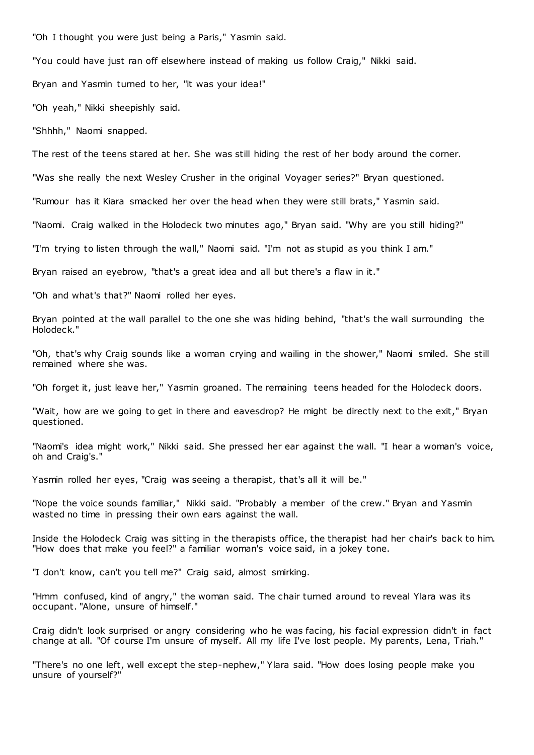"Oh I thought you were just being a Paris," Yasmin said.

"You could have just ran off elsewhere instead of making us follow Craig," Nikki said.

Bryan and Yasmin turned to her, "it was your idea!"

"Oh yeah," Nikki sheepishly said.

"Shhhh," Naomi snapped.

The rest of the teens stared at her. She was still hiding the rest of her body around the corner.

"Was she really the next Wesley Crusher in the original Voyager series?" Bryan questioned.

"Rumour has it Kiara smacked her over the head when they were still brats," Yasmin said.

"Naomi. Craig walked in the Holodeck two minutes ago," Bryan said. "Why are you still hiding?"

"I'm trying to listen through the wall," Naomi said. "I'm not as stupid as you think I am."

Bryan raised an eyebrow, "that's a great idea and all but there's a flaw in it."

"Oh and what's that?" Naomi rolled her eyes.

Bryan pointed at the wall parallel to the one she was hiding behind, "that's the wall surrounding the Holodeck."

"Oh, that's why Craig sounds like a woman crying and wailing in the shower," Naomi smiled. She still remained where she was.

"Oh forget it, just leave her," Yasmin groaned. The remaining teens headed for the Holodeck doors.

"Wait, how are we going to get in there and eavesdrop? He might be directly next to the exit," Bryan questioned.

"Naomi's idea might work," Nikki said. She pressed her ear against the wall. "I hear a woman's voice, oh and Craig's."

Yasmin rolled her eyes, "Craig was seeing a therapist, that's all it will be."

"Nope the voice sounds familiar," Nikki said. "Probably a member of the crew." Bryan and Yasmin wasted no time in pressing their own ears against the wall.

Inside the Holodeck Craig was sitting in the therapists office, the therapist had her chair's back to him. "How does that make you feel?" a familiar woman's voice said, in a jokey tone.

"I don't know, can't you tell me?" Craig said, almost smirking.

"Hmm confused, kind of angry," the woman said. The chair turned around to reveal Ylara was its occupant. "Alone, unsure of himself."

Craig didn't look surprised or angry considering who he was facing, his facial expression didn't in fact change at all. "Of course I'm unsure of myself. All my life I've lost people. My parents, Lena, Triah."

"There's no one left, well except the step-nephew," Ylara said. "How does losing people make you unsure of yourself?"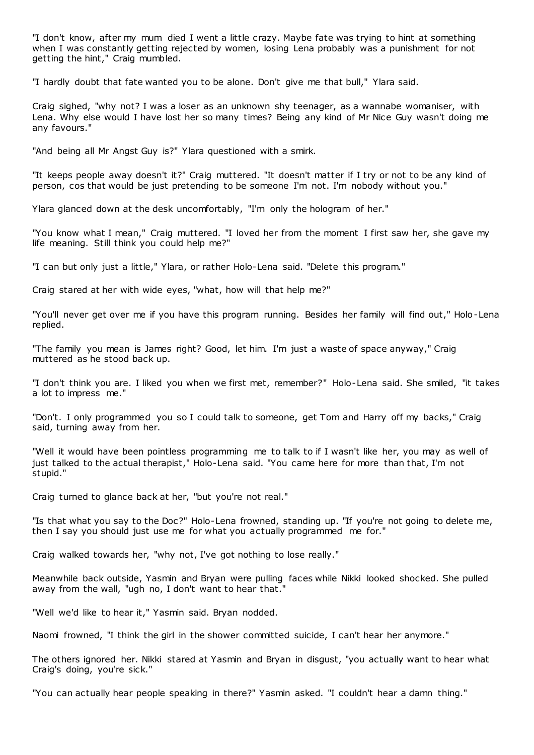"I don't know, after my mum died I went a little crazy. Maybe fate was trying to hint at something when I was constantly getting rejected by women, losing Lena probably was a punishment for not getting the hint," Craig mumbled.

"I hardly doubt that fate wanted you to be alone. Don't give me that bull," Ylara said.

Craig sighed, "why not? I was a loser as an unknown shy teenager, as a wannabe womaniser, with Lena. Why else would I have lost her so many times? Being any kind of Mr Nice Guy wasn't doing me any favours."

"And being all Mr Angst Guy is?" Ylara questioned with a smirk.

"It keeps people away doesn't it?" Craig muttered. "It doesn't matter if I try or not to be any kind of person, cos that would be just pretending to be someone I'm not. I'm nobody without you."

Ylara glanced down at the desk uncomfortably, "I'm only the hologram of her."

"You know what I mean," Craig muttered. "I loved her from the moment I first saw her, she gave my life meaning. Still think you could help me?"

"I can but only just a little," Ylara, or rather Holo-Lena said. "Delete this program."

Craig stared at her with wide eyes, "what, how will that help me?"

"You'll never get over me if you have this program running. Besides her family will find out," Holo-Lena replied.

"The family you mean is James right? Good, let him. I'm just a waste of space anyway," Craig muttered as he stood back up.

"I don't think you are. I liked you when we first met, remember?" Holo-Lena said. She smiled, "it takes a lot to impress me."

"Don't. I only programmed you so I could talk to someone, get Tom and Harry off my backs," Craig said, turning away from her.

"Well it would have been pointless programming me to talk to if I wasn't like her, you may as well of just talked to the actual therapist," Holo-Lena said. "You came here for more than that, I'm not stupid."

Craig turned to glance back at her, "but you're not real."

"Is that what you say to the Doc?" Holo-Lena frowned, standing up. "If you're not going to delete me, then I say you should just use me for what you actually programmed me for."

Craig walked towards her, "why not, I've got nothing to lose really."

Meanwhile back outside, Yasmin and Bryan were pulling faces while Nikki looked shocked. She pulled away from the wall, "ugh no, I don't want to hear that."

"Well we'd like to hear it," Yasmin said. Bryan nodded.

Naomi frowned, "I think the girl in the shower committed suicide, I can't hear her anymore."

The others ignored her. Nikki stared at Yasmin and Bryan in disgust, "you actually want to hear what Craig's doing, you're sick."

"You can actually hear people speaking in there?" Yasmin asked. "I couldn't hear a damn thing."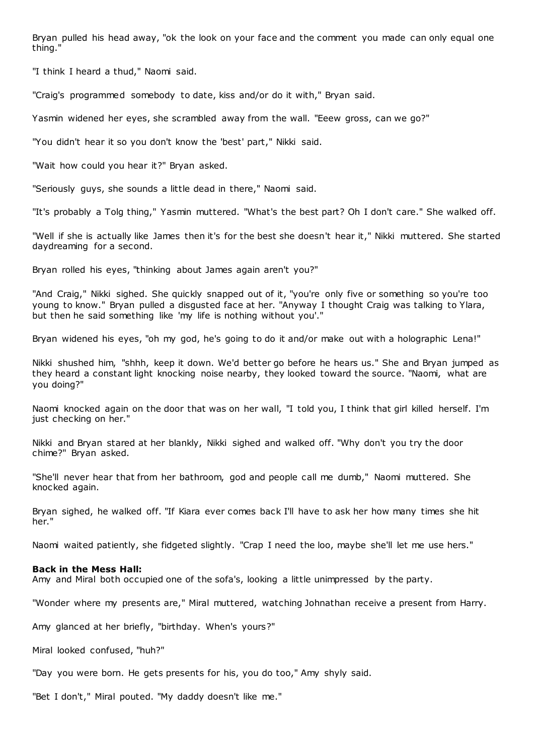Bryan pulled his head away, "ok the look on your face and the comment you made can only equal one thing."

"I think I heard a thud," Naomi said.

"Craig's programmed somebody to date, kiss and/or do it with," Bryan said.

Yasmin widened her eyes, she scrambled away from the wall. "Eeew gross, can we go?"

"You didn't hear it so you don't know the 'best' part," Nikki said.

"Wait how could you hear it?" Bryan asked.

"Seriously guys, she sounds a little dead in there," Naomi said.

"It's probably a Tolg thing," Yasmin muttered. "What's the best part? Oh I don't care." She walked off.

"Well if she is actually like James then it's for the best she doesn't hear it," Nikki muttered. She started daydreaming for a second.

Bryan rolled his eyes, "thinking about James again aren't you?"

"And Craig," Nikki sighed. She quickly snapped out of it, "you're only five or something so you're too young to know." Bryan pulled a disgusted face at her. "Anyway I thought Craig was talking to Ylara, but then he said something like 'my life is nothing without you'."

Bryan widened his eyes, "oh my god, he's going to do it and/or make out with a holographic Lena!"

Nikki shushed him, "shhh, keep it down. We'd better go before he hears us." She and Bryan jumped as they heard a constant light knocking noise nearby, they looked toward the source. "Naomi, what are you doing?"

Naomi knocked again on the door that was on her wall, "I told you, I think that girl killed herself. I'm just checking on her."

Nikki and Bryan stared at her blankly, Nikki sighed and walked off. "Why don't you try the door chime?" Bryan asked.

"She'll never hear that from her bathroom, god and people call me dumb," Naomi muttered. She knocked again.

Bryan sighed, he walked off. "If Kiara ever comes back I'll have to ask her how many times she hit her."

Naomi waited patiently, she fidgeted slightly. "Crap I need the loo, maybe she'll let me use hers."

#### **Back in the Mess Hall:**

Amy and Miral both occupied one of the sofa's, looking a little unimpressed by the party.

"Wonder where my presents are," Miral muttered, watching Johnathan receive a present from Harry.

Amy glanced at her briefly, "birthday. When's yours?"

Miral looked confused, "huh?"

"Day you were born. He gets presents for his, you do too," Amy shyly said.

"Bet I don't," Miral pouted. "My daddy doesn't like me."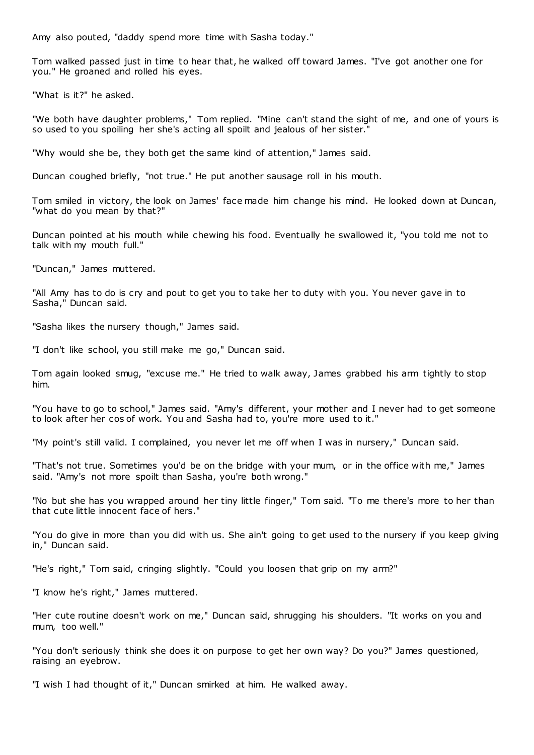Amy also pouted, "daddy spend more time with Sasha today."

Tom walked passed just in time to hear that, he walked off toward James. "I've got another one for you." He groaned and rolled his eyes.

"What is it?" he asked.

"We both have daughter problems," Tom replied. "Mine can't stand the sight of me, and one of yours is so used to you spoiling her she's acting all spoilt and jealous of her sister."

"Why would she be, they both get the same kind of attention," James said.

Duncan coughed briefly, "not true." He put another sausage roll in his mouth.

Tom smiled in victory, the look on James' face made him change his mind. He looked down at Duncan, "what do you mean by that?"

Duncan pointed at his mouth while chewing his food. Eventually he swallowed it, "you told me not to talk with my mouth full."

"Duncan," James muttered.

"All Amy has to do is cry and pout to get you to take her to duty with you. You never gave in to Sasha," Duncan said.

"Sasha likes the nursery though," James said.

"I don't like school, you still make me go," Duncan said.

Tom again looked smug, "excuse me." He tried to walk away, James grabbed his arm tightly to stop him.

"You have to go to school," James said. "Amy's different, your mother and I never had to get someone to look after her cos of work. You and Sasha had to, you're more used to it."

"My point's still valid. I complained, you never let me off when I was in nursery," Duncan said.

"That's not true. Sometimes you'd be on the bridge with your mum, or in the office with me," James said. "Amy's not more spoilt than Sasha, you're both wrong."

"No but she has you wrapped around her tiny little finger," Tom said. "To me there's more to her than that cute little innocent face of hers."

"You do give in more than you did with us. She ain't going to get used to the nursery if you keep giving in," Duncan said.

"He's right," Tom said, cringing slightly. "Could you loosen that grip on my arm?"

"I know he's right," James muttered.

"Her cute routine doesn't work on me," Duncan said, shrugging his shoulders. "It works on you and mum, too well."

"You don't seriously think she does it on purpose to get her own way? Do you?" James questioned, raising an eyebrow.

"I wish I had thought of it," Duncan smirked at him. He walked away.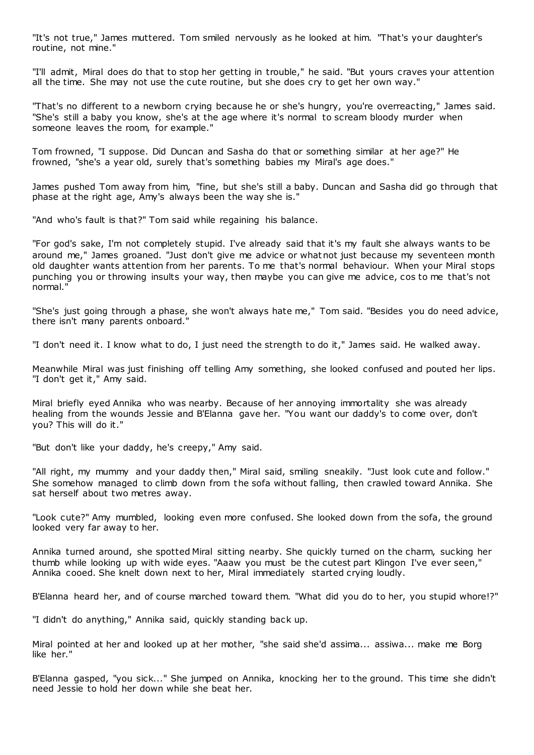"It's not true," James muttered. Tom smiled nervously as he looked at him. "That's your daughter's routine, not mine."

"I'll admit, Miral does do that to stop her getting in trouble," he said. "But yours craves your attention all the time. She may not use the cute routine, but she does cry to get her own way."

"That's no different to a newborn crying because he or she's hungry, you're overreacting," James said. "She's still a baby you know, she's at the age where it's normal to scream bloody murder when someone leaves the room, for example."

Tom frowned, "I suppose. Did Duncan and Sasha do that or something similar at her age?" He frowned, "she's a year old, surely that's something babies my Miral's age does."

James pushed Tom away from him, "fine, but she's still a baby. Duncan and Sasha did go through that phase at the right age, Amy's always been the way she is."

"And who's fault is that?" Tom said while regaining his balance.

"For god's sake, I'm not completely stupid. I've already said that it's my fault she always wants to be around me," James groaned. "Just don't give me advice or whatnot just because my seventeen month old daughter wants attention from her parents. To me that's normal behaviour. When your Miral stops punching you or throwing insults your way, then maybe you can give me advice, cos to me that's not normal."

"She's just going through a phase, she won't always hate me," Tom said. "Besides you do need advice, there isn't many parents onboard."

"I don't need it. I know what to do, I just need the strength to do it," James said. He walked away.

Meanwhile Miral was just finishing off telling Amy something, she looked confused and pouted her lips. "I don't get it," Amy said.

Miral briefly eyed Annika who was nearby. Because of her annoying immortality she was already healing from the wounds Jessie and B'Elanna gave her. "You want our daddy's to come over, don't you? This will do it."

"But don't like your daddy, he's creepy," Amy said.

"All right, my mummy and your daddy then," Miral said, smiling sneakily. "Just look cute and follow." She somehow managed to climb down from the sofa without falling, then crawled toward Annika. She sat herself about two metres away.

"Look cute?" Amy mumbled, looking even more confused. She looked down from the sofa, the ground looked very far away to her.

Annika turned around, she spotted Miral sitting nearby. She quickly turned on the charm, sucking her thumb while looking up with wide eyes. "Aaaw you must be the cutest part Klingon I've ever seen," Annika cooed. She knelt down next to her, Miral immediately started crying loudly.

B'Elanna heard her, and of course marched toward them. "What did you do to her, you stupid whore!?"

"I didn't do anything," Annika said, quickly standing back up.

Miral pointed at her and looked up at her mother, "she said she'd assima... assiwa... make me Borg like her."

B'Elanna gasped, "you sick..." She jumped on Annika, knocking her to the ground. This time she didn't need Jessie to hold her down while she beat her.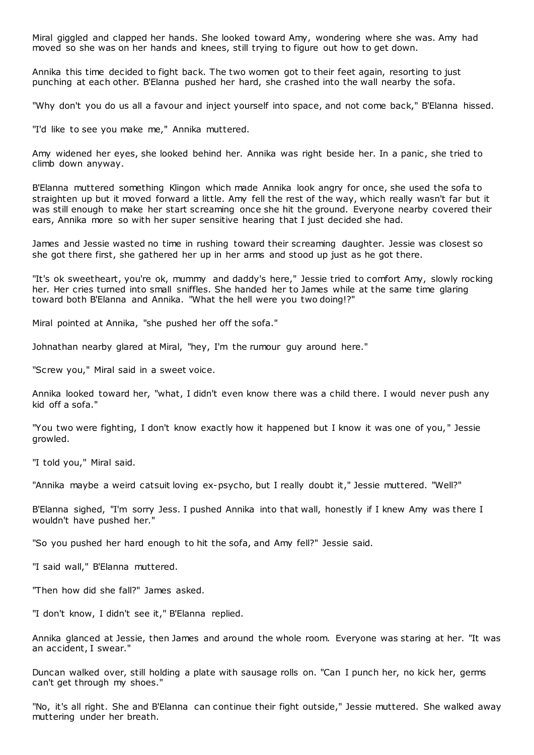Miral giggled and clapped her hands. She looked toward Amy, wondering where she was. Amy had moved so she was on her hands and knees, still trying to figure out how to get down.

Annika this time decided to fight back. The two women got to their feet again, resorting to just punching at each other. B'Elanna pushed her hard, she crashed into the wall nearby the sofa.

"Why don't you do us all a favour and inject yourself into space, and not come back," B'Elanna hissed.

"I'd like to see you make me," Annika muttered.

Amy widened her eyes, she looked behind her. Annika was right beside her. In a panic , she tried to climb down anyway.

B'Elanna muttered something Klingon which made Annika look angry for once, she used the sofa to straighten up but it moved forward a little. Amy fell the rest of the way, which really wasn't far but it was still enough to make her start screaming once she hit the ground. Everyone nearby covered their ears, Annika more so with her super sensitive hearing that I just decided she had.

James and Jessie wasted no time in rushing toward their screaming daughter. Jessie was closest so she got there first, she gathered her up in her arms and stood up just as he got there.

"It's ok sweetheart, you're ok, mummy and daddy's here," Jessie tried to comfort Amy, slowly rocking her. Her cries turned into small sniffles. She handed her to James while at the same time glaring toward both B'Elanna and Annika. "What the hell were you two doing!?"

Miral pointed at Annika, "she pushed her off the sofa."

Johnathan nearby glared at Miral, "hey, I'm the rumour guy around here."

"Screw you," Miral said in a sweet voice.

Annika looked toward her, "what, I didn't even know there was a child there. I would never push any kid off a sofa."

"You two were fighting, I don't know exactly how it happened but I know it was one of you, " Jessie growled.

"I told you," Miral said.

"Annika maybe a weird catsuit loving ex-psycho, but I really doubt it," Jessie muttered. "Well?"

B'Elanna sighed, "I'm sorry Jess. I pushed Annika into that wall, honestly if I knew Amy was there I wouldn't have pushed her."

"So you pushed her hard enough to hit the sofa, and Amy fell?" Jessie said.

"I said wall," B'Elanna muttered.

"Then how did she fall?" James asked.

"I don't know, I didn't see it," B'Elanna replied.

Annika glanced at Jessie, then James and around the whole room. Everyone was staring at her. "It was an accident, I swear."

Duncan walked over, still holding a plate with sausage rolls on. "Can I punch her, no kick her, germs can't get through my shoes."

"No, it's all right. She and B'Elanna can continue their fight outside," Jessie muttered. She walked away muttering under her breath.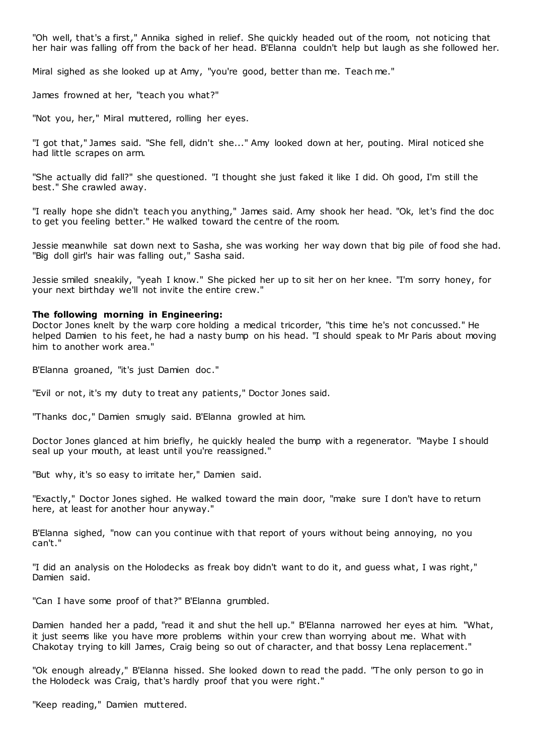"Oh well, that's a first," Annika sighed in relief. She quickly headed out of the room, not noticing that her hair was falling off from the back of her head. B'Elanna couldn't help but laugh as she followed her.

Miral sighed as she looked up at Amy, "you're good, better than me. Teach me."

James frowned at her, "teach you what?"

"Not you, her," Miral muttered, rolling her eyes.

"I got that," James said. "She fell, didn't she..." Amy looked down at her, pouting. Miral noticed she had little scrapes on arm.

"She actually did fall?" she questioned. "I thought she just faked it like I did. Oh good, I'm still the best." She crawled away.

"I really hope she didn't teach you anything," James said. Amy shook her head. "Ok, let's find the doc to get you feeling better." He walked toward the centre of the room.

Jessie meanwhile sat down next to Sasha, she was working her way down that big pile of food she had. "Big doll girl's hair was falling out," Sasha said.

Jessie smiled sneakily, "yeah I know." She picked her up to sit her on her knee. "I'm sorry honey, for your next birthday we'll not invite the entire crew."

#### **The following morning in Engineering:**

Doctor Jones knelt by the warp core holding a medical tricorder, "this time he's not concussed." He helped Damien to his feet, he had a nasty bump on his head. "I should speak to Mr Paris about moving him to another work area."

B'Elanna groaned, "it's just Damien doc ."

"Evil or not, it's my duty to treat any patients," Doctor Jones said.

"Thanks doc ," Damien smugly said. B'Elanna growled at him.

Doctor Jones glanced at him briefly, he quickly healed the bump with a regenerator. "Maybe I should seal up your mouth, at least until you're reassigned."

"But why, it's so easy to irritate her," Damien said.

"Exactly," Doctor Jones sighed. He walked toward the main door, "make sure I don't have to return here, at least for another hour anyway."

B'Elanna sighed, "now can you continue with that report of yours without being annoying, no you can't."

"I did an analysis on the Holodecks as freak boy didn't want to do it, and guess what, I was right," Damien said.

"Can I have some proof of that?" B'Elanna grumbled.

Damien handed her a padd, "read it and shut the hell up." B'Elanna narrowed her eyes at him. "What, it just seems like you have more problems within your crew than worrying about me. What with Chakotay trying to kill James, Craig being so out of character, and that bossy Lena replacement."

"Ok enough already," B'Elanna hissed. She looked down to read the padd. "The only person to go in the Holodeck was Craig, that's hardly proof that you were right."

"Keep reading," Damien muttered.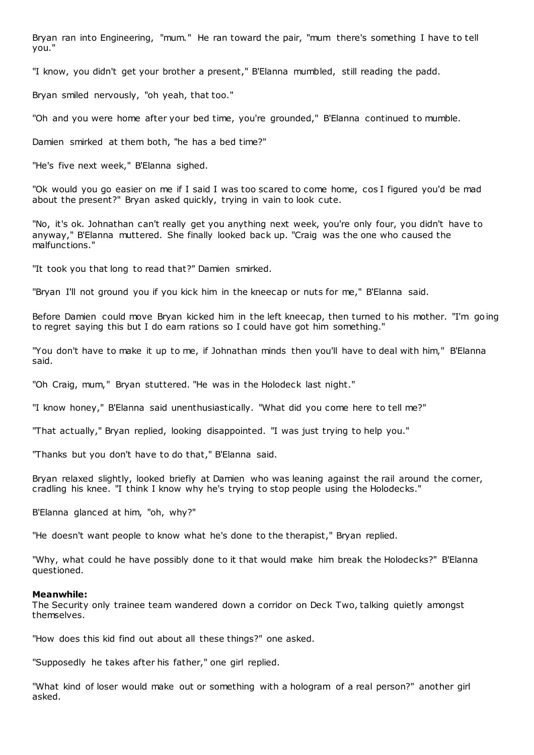Bryan ran into Engineering, "mum." He ran toward the pair, "mum there's something I have to tell you."

"I know, you didn't get your brother a present," B'Elanna mumbled, still reading the padd.

Bryan smiled nervously, "oh yeah, that too."

"Oh and you were home after your bed time, you're grounded," B'Elanna continued to mumble.

Damien smirked at them both, "he has a bed time?"

"He's five next week," B'Elanna sighed.

"Ok would you go easier on me if I said I was too scared to come home, cos I figured you'd be mad about the present?" Bryan asked quickly, trying in vain to look cute.

"No, it's ok. Johnathan can't really get you anything next week, you're only four, you didn't have to anyway," B'Elanna muttered. She finally looked back up. "Craig was the one who caused the malfunctions."

"It took you that long to read that?" Damien smirked.

"Bryan I'll not ground you if you kick him in the kneecap or nuts for me," B'Elanna said.

Before Damien could move Bryan kicked him in the left kneecap, then turned to his mother. "I'm going to regret saying this but I do earn rations so I could have got him something."

"You don't have to make it up to me, if Johnathan minds then you'll have to deal with him," B'Elanna said.

"Oh Craig, mum," Bryan stuttered. "He was in the Holodeck last night."

"I know honey," B'Elanna said unenthusiastically. "What did you come here to tell me?"

"That actually," Bryan replied, looking disappointed. "I was just trying to help you."

"Thanks but you don't have to do that," B'Elanna said.

Bryan relaxed slightly, looked briefly at Damien who was leaning against the rail around the corner, cradling his knee. "I think I know why he's trying to stop people using the Holodecks."

B'Elanna glanced at him, "oh, why?"

"He doesn't want people to know what he's done to the therapist," Bryan replied.

"Why, what could he have possibly done to it that would make him break the Holodecks?" B'Elanna questioned.

#### **Meanwhile:**

The Security only trainee team wandered down a corridor on Deck Two, talking quietly amongst themselves.

"How does this kid find out about all these things?" one asked.

"Supposedly he takes after his father," one girl replied.

"What kind of loser would make out or something with a hologram of a real person?" another girl asked.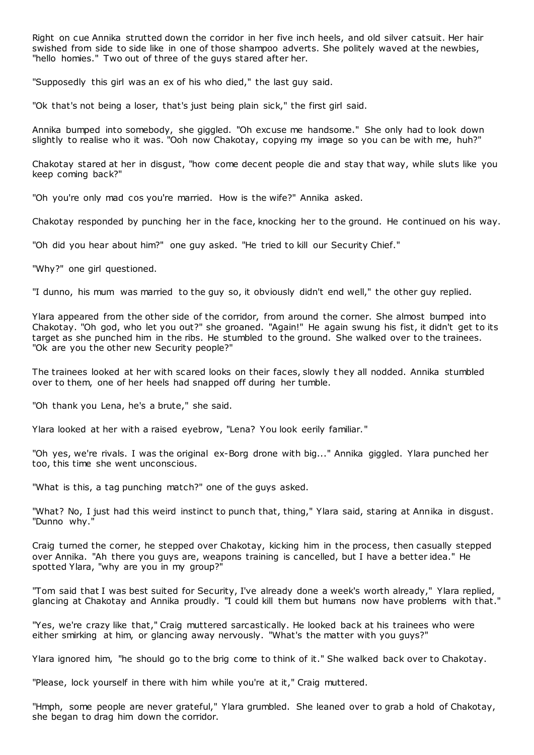Right on cue Annika strutted down the corridor in her five inch heels, and old silver catsuit. Her hair swished from side to side like in one of those shampoo adverts. She politely waved at the newbies, "hello homies." Two out of three of the guys stared after her.

"Supposedly this girl was an ex of his who died," the last guy said.

"Ok that's not being a loser, that's just being plain sick," the first girl said.

Annika bumped into somebody, she giggled. "Oh excuse me handsome." She only had to look down slightly to realise who it was. "Ooh now Chakotay, copying my image so you can be with me, huh?"

Chakotay stared at her in disgust, "how come decent people die and stay that way, while sluts like you keep coming back?"

"Oh you're only mad cos you're married. How is the wife?" Annika asked.

Chakotay responded by punching her in the face, knocking her to the ground. He continued on his way.

"Oh did you hear about him?" one guy asked. "He tried to kill our Security Chief."

"Why?" one girl questioned.

"I dunno, his mum was married to the guy so, it obviously didn't end well," the other guy replied.

Ylara appeared from the other side of the corridor, from around the corner. She almost bumped into Chakotay. "Oh god, who let you out?" she groaned. "Again!" He again swung his fist, it didn't get to its target as she punched him in the ribs. He stumbled to the ground. She walked over to the trainees. "Ok are you the other new Security people?"

The trainees looked at her with scared looks on their faces, slowly t hey all nodded. Annika stumbled over to them, one of her heels had snapped off during her tumble.

"Oh thank you Lena, he's a brute," she said.

Ylara looked at her with a raised eyebrow, "Lena? You look eerily familiar."

"Oh yes, we're rivals. I was the original ex-Borg drone with big..." Annika giggled. Ylara punched her too, this time she went unconscious.

"What is this, a tag punching match?" one of the guys asked.

"What? No, I just had this weird instinct to punch that, thing," Ylara said, staring at Annika in disgust. "Dunno why."

Craig turned the corner, he stepped over Chakotay, kicking him in the process, then casually stepped over Annika. "Ah there you guys are, weapons training is cancelled, but I have a better idea." He spotted Ylara, "why are you in my group?"

"Tom said that I was best suited for Security, I've already done a week's worth already," Ylara replied, glancing at Chakotay and Annika proudly. "I could kill them but humans now have problems with that."

"Yes, we're crazy like that," Craig muttered sarcastically. He looked back at his trainees who were either smirking at him, or glancing away nervously. "What's the matter with you guys?"

Ylara ignored him, "he should go to the brig come to think of it." She walked back over to Chakotay.

"Please, lock yourself in there with him while you're at it," Craig muttered.

"Hmph, some people are never grateful," Ylara grumbled. She leaned over to grab a hold of Chakotay, she began to drag him down the corridor.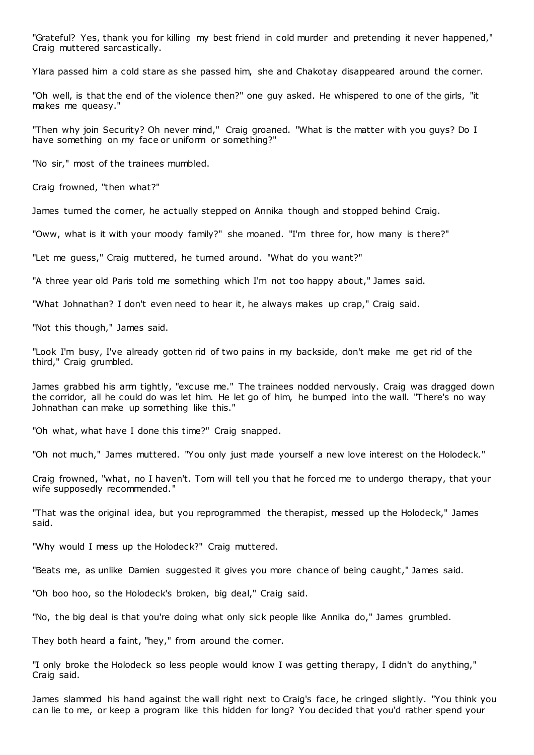"Grateful? Yes, thank you for killing my best friend in cold murder and pretending it never happened," Craig muttered sarcastically.

Ylara passed him a cold stare as she passed him, she and Chakotay disappeared around the corner.

"Oh well, is that the end of the violence then?" one guy asked. He whispered to one of the girls, "it makes me queasy."

"Then why join Security? Oh never mind," Craig groaned. "What is the matter with you guys? Do I have something on my face or uniform or something?"

"No sir," most of the trainees mumbled.

Craig frowned, "then what?"

James turned the corner, he actually stepped on Annika though and stopped behind Craig.

"Oww, what is it with your moody family?" she moaned. "I'm three for, how many is there?"

"Let me guess," Craig muttered, he turned around. "What do you want?"

"A three year old Paris told me something which I'm not too happy about," James said.

"What Johnathan? I don't even need to hear it, he always makes up crap," Craig said.

"Not this though," James said.

"Look I'm busy, I've already gotten rid of two pains in my backside, don't make me get rid of the third," Craig grumbled.

James grabbed his arm tightly, "excuse me." The trainees nodded nervously. Craig was dragged down the corridor, all he could do was let him. He let go of him, he bumped into the wall. "There's no way Johnathan can make up something like this."

"Oh what, what have I done this time?" Craig snapped.

"Oh not much," James muttered. "You only just made yourself a new love interest on the Holodeck."

Craig frowned, "what, no I haven't. Tom will tell you that he forced me to undergo therapy, that your wife supposedly recommended."

"That was the original idea, but you reprogrammed the therapist, messed up the Holodeck," James said.

"Why would I mess up the Holodeck?" Craig muttered.

"Beats me, as unlike Damien suggested it gives you more chance of being caught," James said.

"Oh boo hoo, so the Holodeck's broken, big deal," Craig said.

"No, the big deal is that you're doing what only sick people like Annika do," James grumbled.

They both heard a faint, "hey," from around the corner.

"I only broke the Holodeck so less people would know I was getting therapy, I didn't do anything," Craig said.

James slammed his hand against the wall right next to Craig's face, he cringed slightly. "You think you can lie to me, or keep a program like this hidden for long? You decided that you'd rather spend your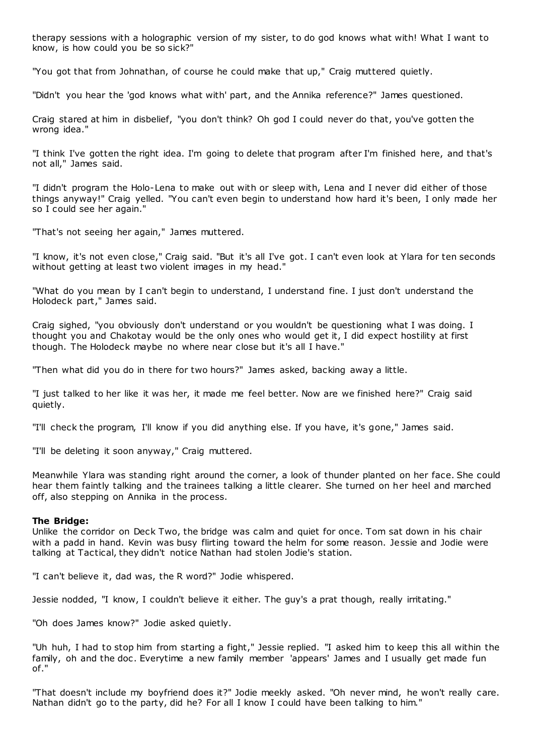therapy sessions with a holographic version of my sister, to do god knows what with! What I want to know, is how could you be so sick?"

"You got that from Johnathan, of course he could make that up," Craig muttered quietly.

"Didn't you hear the 'god knows what with' part, and the Annika reference?" James questioned.

Craig stared at him in disbelief, "you don't think? Oh god I could never do that, you've gotten the wrong idea."

"I think I've gotten the right idea. I'm going to delete that program after I'm finished here, and that's not all," James said.

"I didn't program the Holo-Lena to make out with or sleep with, Lena and I never did either of those things anyway!" Craig yelled. "You can't even begin to understand how hard it's been, I only made her so I could see her again."

"That's not seeing her again," James muttered.

"I know, it's not even close," Craig said. "But it's all I've got. I can't even look at Ylara for ten seconds without getting at least two violent images in my head."

"What do you mean by I can't begin to understand, I understand fine. I just don't understand the Holodeck part," James said.

Craig sighed, "you obviously don't understand or you wouldn't be questioning what I was doing. I thought you and Chakotay would be the only ones who would get it, I did expect hostility at first though. The Holodeck maybe no where near close but it's all I have."

"Then what did you do in there for two hours?" James asked, backing away a little.

"I just talked to her like it was her, it made me feel better. Now are we finished here?" Craig said quietly.

"I'll check the program, I'll know if you did anything else. If you have, it's gone," James said.

"I'll be deleting it soon anyway," Craig muttered.

Meanwhile Ylara was standing right around the corner, a look of thunder planted on her face. She could hear them faintly talking and the trainees talking a little clearer. She turned on her heel and marched off, also stepping on Annika in the process.

## **The Bridge:**

Unlike the corridor on Deck Two, the bridge was calm and quiet for once. Tom sat down in his chair with a padd in hand. Kevin was busy flirting toward the helm for some reason. Jessie and Jodie were talking at Tactical, they didn't notice Nathan had stolen Jodie's station.

"I can't believe it, dad was, the R word?" Jodie whispered.

Jessie nodded, "I know, I couldn't believe it either. The guy's a prat though, really irritating."

"Oh does James know?" Jodie asked quietly.

"Uh huh, I had to stop him from starting a fight," Jessie replied. "I asked him to keep this all within the family, oh and the doc. Everytime a new family member 'appears' James and I usually get made fun of."

"That doesn't include my boyfriend does it?" Jodie meekly asked. "Oh never mind, he won't really care. Nathan didn't go to the party, did he? For all I know I could have been talking to him."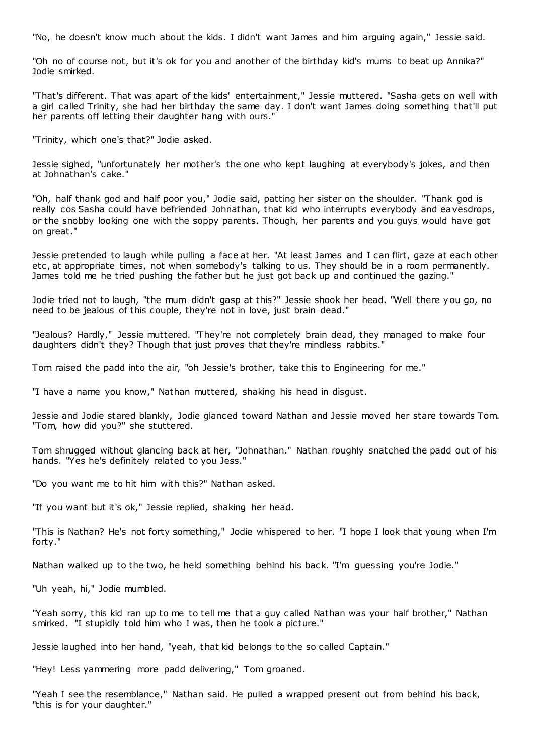"No, he doesn't know much about the kids. I didn't want James and him arguing again," Jessie said.

"Oh no of course not, but it's ok for you and another of the birthday kid's mums to beat up Annika?" Jodie smirked.

"That's different. That was apart of the kids' entertainment," Jessie muttered. "Sasha gets on well with a girl called Trinity, she had her birthday the same day. I don't want James doing something that'll put her parents off letting their daughter hang with ours."

"Trinity, which one's that?" Jodie asked.

Jessie sighed, "unfortunately her mother's the one who kept laughing at everybody's jokes, and then at Johnathan's cake."

"Oh, half thank god and half poor you," Jodie said, patting her sister on the shoulder. "Thank god is really cos Sasha could have befriended Johnathan, that kid who interrupts everybody and eavesdrops, or the snobby looking one with the soppy parents. Though, her parents and you guys would have got on great."

Jessie pretended to laugh while pulling a face at her. "At least James and I can flirt, gaze at each other etc , at appropriate times, not when somebody's talking to us. They should be in a room permanently. James told me he tried pushing the father but he just got back up and continued the gazing."

Jodie tried not to laugh, "the mum didn't gasp at this?" Jessie shook her head. "Well there you go, no need to be jealous of this couple, they're not in love, just brain dead."

"Jealous? Hardly," Jessie muttered. "They're not completely brain dead, they managed to make four daughters didn't they? Though that just proves that they're mindless rabbits."

Tom raised the padd into the air, "oh Jessie's brother, take this to Engineering for me."

"I have a name you know," Nathan muttered, shaking his head in disgust.

Jessie and Jodie stared blankly, Jodie glanced toward Nathan and Jessie moved her stare towards Tom. "Tom, how did you?" she stuttered.

Tom shrugged without glancing back at her, "Johnathan." Nathan roughly snatched the padd out of his hands. "Yes he's definitely related to you Jess."

"Do you want me to hit him with this?" Nathan asked.

"If you want but it's ok," Jessie replied, shaking her head.

"This is Nathan? He's not forty something," Jodie whispered to her. "I hope I look that young when I'm forty."

Nathan walked up to the two, he held something behind his back. "I'm guessing you're Jodie."

"Uh yeah, hi," Jodie mumbled.

"Yeah sorry, this kid ran up to me to tell me that a guy called Nathan was your half brother," Nathan smirked. "I stupidly told him who I was, then he took a picture."

Jessie laughed into her hand, "yeah, that kid belongs to the so called Captain."

"Hey! Less yammering more padd delivering," Tom groaned.

"Yeah I see the resemblance," Nathan said. He pulled a wrapped present out from behind his back, "this is for your daughter."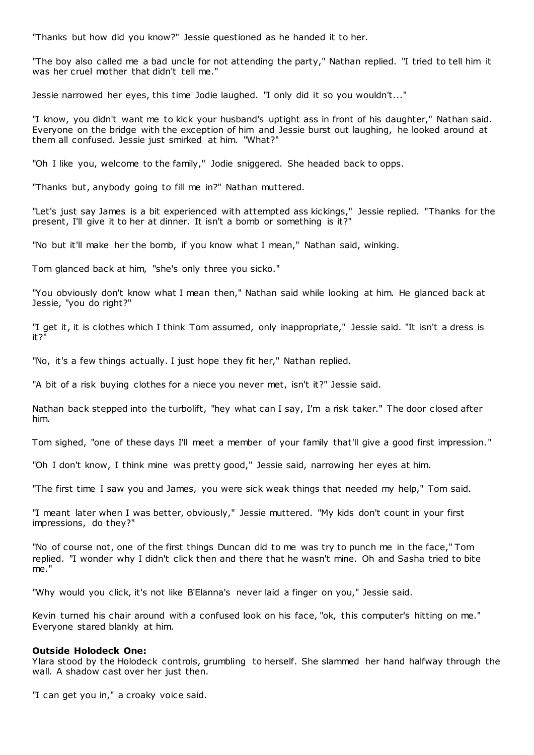"Thanks but how did you know?" Jessie questioned as he handed it to her.

"The boy also called me a bad uncle for not attending the party," Nathan replied. "I tried to tell him it was her cruel mother that didn't tell me."

Jessie narrowed her eyes, this time Jodie laughed. "I only did it so you wouldn't..."

"I know, you didn't want me to kick your husband's uptight ass in front of his daughter," Nathan said. Everyone on the bridge with the exception of him and Jessie burst out laughing, he looked around at them all confused. Jessie just smirked at him. "What?"

"Oh I like you, welcome to the family," Jodie sniggered. She headed back to opps.

"Thanks but, anybody going to fill me in?" Nathan muttered.

"Let's just say James is a bit experienced with attempted ass kickings," Jessie replied. "Thanks for the present, I'll give it to her at dinner. It isn't a bomb or something is it?"

"No but it'll make her the bomb, if you know what I mean," Nathan said, winking.

Tom glanced back at him, "she's only three you sicko."

"You obviously don't know what I mean then," Nathan said while looking at him. He glanced back at Jessie, "you do right?"

"I get it, it is clothes which I think Tom assumed, only inappropriate," Jessie said. "It isn't a dress is it?"

"No, it's a few things actually. I just hope they fit her," Nathan replied.

"A bit of a risk buying clothes for a niece you never met, isn't it?" Jessie said.

Nathan back stepped into the turbolift, "hey what can I say, I'm a risk taker." The door closed after him.

Tom sighed, "one of these days I'll meet a member of your family that'll give a good first impression."

"Oh I don't know, I think mine was pretty good," Jessie said, narrowing her eyes at him.

"The first time I saw you and James, you were sick weak things that needed my help," Tom said.

"I meant later when I was better, obviously," Jessie muttered. "My kids don't count in your first impressions, do they?"

"No of course not, one of the first things Duncan did to me was try to punch me in the face," Tom replied. "I wonder why I didn't click then and there that he wasn't mine. Oh and Sasha tried to bite me."

"Why would you click, it's not like B'Elanna's never laid a finger on you," Jessie said.

Kevin turned his chair around with a confused look on his face, "ok, this computer's hitting on me." Everyone stared blankly at him.

#### **Outside Holodeck One:**

Ylara stood by the Holodeck controls, grumbling to herself. She slammed her hand halfway through the wall. A shadow cast over her just then.

"I can get you in," a croaky voice said.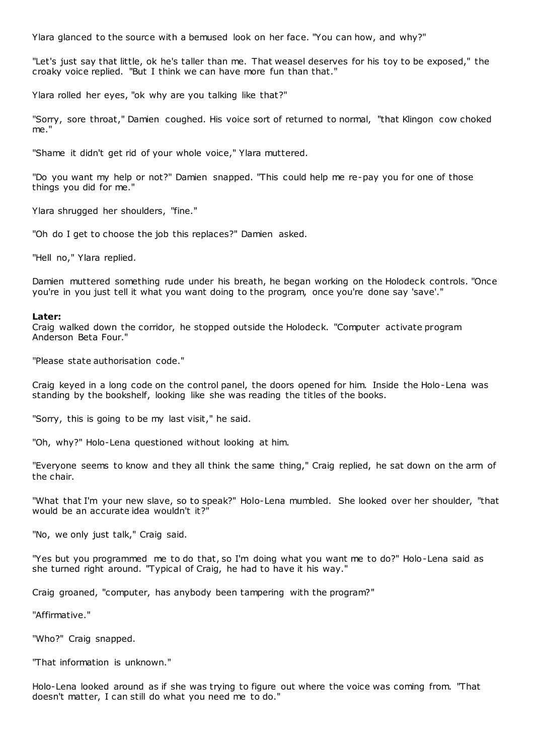Ylara glanced to the source with a bemused look on her face. "You can how, and why?"

"Let's just say that little, ok he's taller than me. That weasel deserves for his toy to be exposed," the croaky voice replied. "But I think we can have more fun than that."

Ylara rolled her eyes, "ok why are you talking like that?"

"Sorry, sore throat," Damien coughed. His voice sort of returned to normal, "that Klingon cow choked me."

"Shame it didn't get rid of your whole voice," Ylara muttered.

"Do you want my help or not?" Damien snapped. "This could help me re-pay you for one of those things you did for me."

Ylara shrugged her shoulders, "fine."

"Oh do I get to choose the job this replaces?" Damien asked.

"Hell no," Ylara replied.

Damien muttered something rude under his breath, he began working on the Holodeck controls. "Once you're in you just tell it what you want doing to the program, once you're done say 'save'."

#### **Later:**

Craig walked down the corridor, he stopped outside the Holodeck. "Computer activate program Anderson Beta Four."

"Please state authorisation code."

Craig keyed in a long code on the control panel, the doors opened for him. Inside the Holo-Lena was standing by the bookshelf, looking like she was reading the titles of the books.

"Sorry, this is going to be my last visit," he said.

"Oh, why?" Holo-Lena questioned without looking at him.

"Everyone seems to know and they all think the same thing," Craig replied, he sat down on the arm of the chair.

"What that I'm your new slave, so to speak?" Holo-Lena mumbled. She looked over her shoulder, "that would be an accurate idea wouldn't it?"

"No, we only just talk," Craig said.

"Yes but you programmed me to do that, so I'm doing what you want me to do?" Holo-Lena said as she turned right around. "Typical of Craig, he had to have it his way."

Craig groaned, "computer, has anybody been tampering with the program?"

"Affirmative."

"Who?" Craig snapped.

"That information is unknown."

Holo-Lena looked around as if she was trying to figure out where the voice was coming from. "That doesn't matter, I can still do what you need me to do."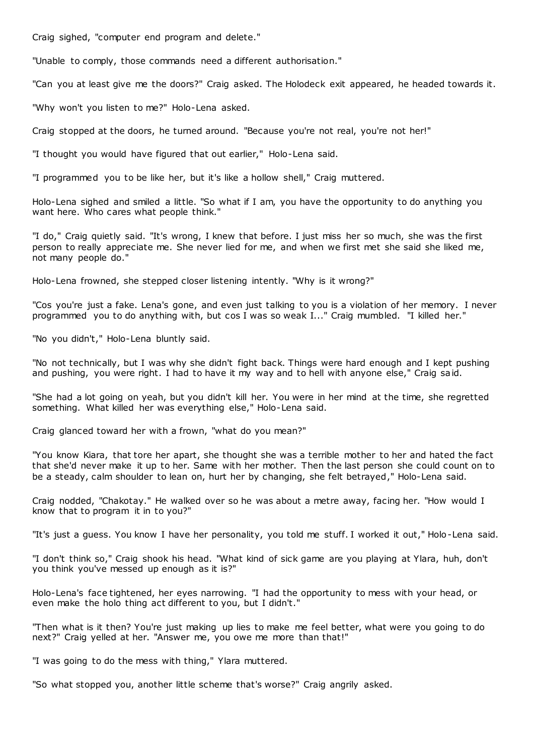Craig sighed, "computer end program and delete."

"Unable to comply, those commands need a different authorisation."

"Can you at least give me the doors?" Craig asked. The Holodeck exit appeared, he headed towards it.

"Why won't you listen to me?" Holo-Lena asked.

Craig stopped at the doors, he turned around. "Because you're not real, you're not her!"

"I thought you would have figured that out earlier," Holo-Lena said.

"I programmed you to be like her, but it's like a hollow shell," Craig muttered.

Holo-Lena sighed and smiled a little. "So what if I am, you have the opportunity to do anything you want here. Who cares what people think."

"I do," Craig quietly said. "It's wrong, I knew that before. I just miss her so much, she was the first person to really appreciate me. She never lied for me, and when we first met she said she liked me, not many people do."

Holo-Lena frowned, she stepped closer listening intently. "Why is it wrong?"

"Cos you're just a fake. Lena's gone, and even just talking to you is a violation of her memory. I never programmed you to do anything with, but cos I was so weak I..." Craig mumbled. "I killed her."

"No you didn't," Holo-Lena bluntly said.

"No not technically, but I was why she didn't fight back. Things were hard enough and I kept pushing and pushing, you were right. I had to have it my way and to hell with anyone else," Craig said.

"She had a lot going on yeah, but you didn't kill her. You were in her mind at the time, she regretted something. What killed her was everything else," Holo-Lena said.

Craig glanced toward her with a frown, "what do you mean?"

"You know Kiara, that tore her apart, she thought she was a terrible mother to her and hated the fact that she'd never make it up to her. Same with her mother. Then the last person she could count on to be a steady, calm shoulder to lean on, hurt her by changing, she felt betrayed," Holo-Lena said.

Craig nodded, "Chakotay." He walked over so he was about a metre away, facing her. "How would I know that to program it in to you?"

"It's just a guess. You know I have her personality, you told me stuff. I worked it out," Holo-Lena said.

"I don't think so," Craig shook his head. "What kind of sick game are you playing at Ylara, huh, don't you think you've messed up enough as it is?"

Holo-Lena's face tightened, her eyes narrowing. "I had the opportunity to mess with your head, or even make the holo thing act different to you, but I didn't."

"Then what is it then? You're just making up lies to make me feel better, what were you going to do next?" Craig yelled at her. "Answer me, you owe me more than that!"

"I was going to do the mess with thing," Ylara muttered.

"So what stopped you, another little scheme that's worse?" Craig angrily asked.